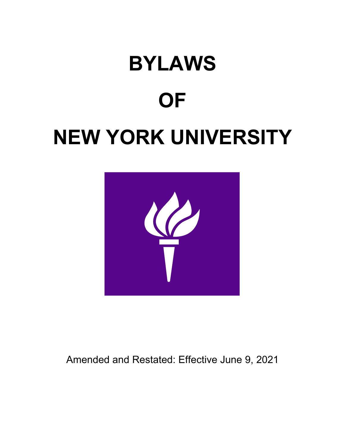# **BYLAWS OF NEW YORK UNIVERSITY**



Amended and Restated: Effective June 9, 2021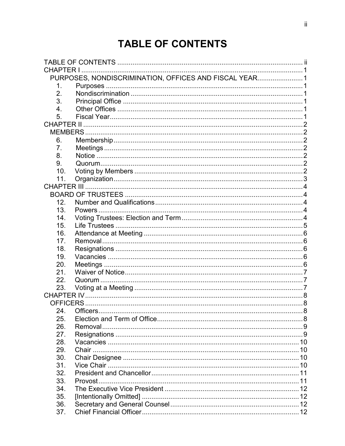# **TABLE OF CONTENTS**

| <b>CHAPTER I</b> |                                                        |  |
|------------------|--------------------------------------------------------|--|
|                  | PURPOSES, NONDISCRIMINATION, OFFICES AND FISCAL YEAR 1 |  |
| 1.               |                                                        |  |
| 2.               |                                                        |  |
| 3.               |                                                        |  |
| 4.               |                                                        |  |
| 5.               |                                                        |  |
|                  |                                                        |  |
|                  |                                                        |  |
| 6.               |                                                        |  |
| 7.               |                                                        |  |
| 8.               |                                                        |  |
| 9.               |                                                        |  |
| 10.              |                                                        |  |
| 11.              |                                                        |  |
|                  |                                                        |  |
|                  |                                                        |  |
| 12.              |                                                        |  |
| 13.              |                                                        |  |
| 14.              |                                                        |  |
| 15.              |                                                        |  |
| 16.              |                                                        |  |
| 17.              |                                                        |  |
| 18.              |                                                        |  |
| 19.              |                                                        |  |
| 20.              |                                                        |  |
| 21.              |                                                        |  |
| 22.              |                                                        |  |
| 23.              |                                                        |  |
|                  |                                                        |  |
| OFFICERS         |                                                        |  |
| 24               | Officers                                               |  |
| 25.              |                                                        |  |
| 26.              |                                                        |  |
| 27.              |                                                        |  |
| 28.              |                                                        |  |
| 29.              |                                                        |  |
| 30.              |                                                        |  |
| 31.              |                                                        |  |
| 32.              |                                                        |  |
| 33.              | Provost                                                |  |
| 34.              |                                                        |  |
| 35.              |                                                        |  |
| 36.              |                                                        |  |
| 37.              |                                                        |  |
|                  |                                                        |  |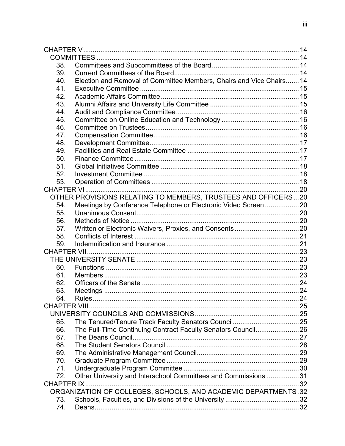| 38.               |                                                                      |  |
|-------------------|----------------------------------------------------------------------|--|
| 39.               |                                                                      |  |
| 40.               | Election and Removal of Committee Members, Chairs and Vice Chairs 14 |  |
| 41.               |                                                                      |  |
| 42.               |                                                                      |  |
| 43.               |                                                                      |  |
| 44.               |                                                                      |  |
| 45.               |                                                                      |  |
| 46.               |                                                                      |  |
| 47.               |                                                                      |  |
| 48.               |                                                                      |  |
| 49.               |                                                                      |  |
| 50.               |                                                                      |  |
| 51.               |                                                                      |  |
| 52.               |                                                                      |  |
| 53.               |                                                                      |  |
|                   |                                                                      |  |
|                   | OTHER PROVISIONS RELATING TO MEMBERS, TRUSTEES AND OFFICERS20        |  |
| 54.               |                                                                      |  |
| 55.               |                                                                      |  |
| 56.               |                                                                      |  |
| 57.               |                                                                      |  |
| 58.               |                                                                      |  |
| 59.               |                                                                      |  |
|                   |                                                                      |  |
|                   |                                                                      |  |
| 60.               |                                                                      |  |
| 61.               |                                                                      |  |
| 62.               |                                                                      |  |
| 63.               |                                                                      |  |
| 64                | Rules.                                                               |  |
|                   |                                                                      |  |
|                   |                                                                      |  |
| 65.               |                                                                      |  |
| 66.               | The Full-Time Continuing Contract Faculty Senators Council 26        |  |
| 67.               |                                                                      |  |
| 68.               |                                                                      |  |
| 69.               |                                                                      |  |
| 70.               |                                                                      |  |
| 71.               |                                                                      |  |
| 72.               | Other University and Interschool Committees and Commissions 31       |  |
| <b>CHAPTER IX</b> |                                                                      |  |
|                   | ORGANIZATION OF COLLEGES, SCHOOLS, AND ACADEMIC DEPARTMENTS.32       |  |
| 73.               |                                                                      |  |
| 74.               |                                                                      |  |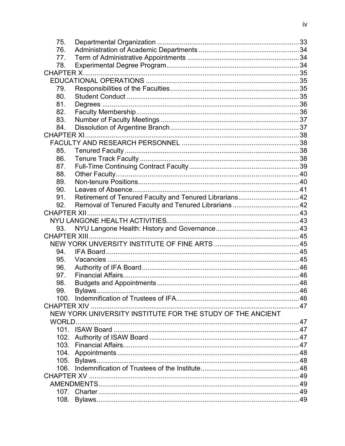| 75. |                                                            |  |
|-----|------------------------------------------------------------|--|
| 76. |                                                            |  |
| 77. |                                                            |  |
| 78. |                                                            |  |
|     |                                                            |  |
|     |                                                            |  |
| 79. |                                                            |  |
| 80. |                                                            |  |
| 81. |                                                            |  |
| 82. |                                                            |  |
| 83. |                                                            |  |
| 84. |                                                            |  |
|     |                                                            |  |
|     |                                                            |  |
| 85. |                                                            |  |
| 86. |                                                            |  |
| 87. |                                                            |  |
| 88. |                                                            |  |
| 89. |                                                            |  |
| 90. |                                                            |  |
| 91. | Retirement of Tenured Faculty and Tenured Librarians 42    |  |
| 92. |                                                            |  |
|     |                                                            |  |
|     |                                                            |  |
| 93. |                                                            |  |
|     |                                                            |  |
|     |                                                            |  |
| 94. |                                                            |  |
| 95. |                                                            |  |
| 96. |                                                            |  |
| 97. |                                                            |  |
| 98. |                                                            |  |
| 99. | Bylaws                                                     |  |
|     |                                                            |  |
|     |                                                            |  |
|     | NEW YORK UNIVERSITY INSTITUTE FOR THE STUDY OF THE ANCIENT |  |
|     |                                                            |  |
|     |                                                            |  |
|     |                                                            |  |
|     |                                                            |  |
|     |                                                            |  |
|     |                                                            |  |
|     |                                                            |  |
|     | <b>CHAPTER XV</b>                                          |  |
|     |                                                            |  |
|     |                                                            |  |
|     |                                                            |  |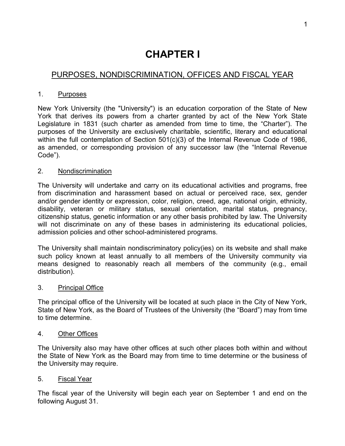# **CHAPTER I**

# PURPOSES, NONDISCRIMINATION, OFFICES AND FISCAL YEAR

#### 1. Purposes

New York University (the "University") is an education corporation of the State of New York that derives its powers from a charter granted by act of the New York State Legislature in 1831 (such charter as amended from time to time, the "Charter"). The purposes of the University are exclusively charitable, scientific, literary and educational within the full contemplation of Section 501(c)(3) of the Internal Revenue Code of 1986, as amended, or corresponding provision of any successor law (the "Internal Revenue Code").

#### 2. Nondiscrimination

The University will undertake and carry on its educational activities and programs, free from discrimination and harassment based on actual or perceived race, sex, gender and/or gender identity or expression, color, religion, creed, age, national origin, ethnicity, disability, veteran or military status, sexual orientation, marital status, pregnancy, citizenship status, genetic information or any other basis prohibited by law. The University will not discriminate on any of these bases in administering its educational policies, admission policies and other school-administered programs.

The University shall maintain nondiscriminatory policy(ies) on its website and shall make such policy known at least annually to all members of the University community via means designed to reasonably reach all members of the community (e.g., email distribution).

#### 3. Principal Office

The principal office of the University will be located at such place in the City of New York, State of New York, as the Board of Trustees of the University (the "Board") may from time to time determine.

#### 4. Other Offices

The University also may have other offices at such other places both within and without the State of New York as the Board may from time to time determine or the business of the University may require.

#### 5. Fiscal Year

The fiscal year of the University will begin each year on September 1 and end on the following August 31.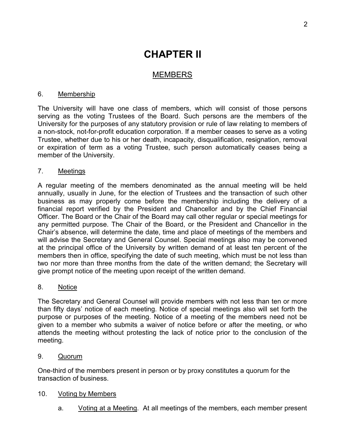# **CHAPTER II**

## MEMBERS

#### 6. Membership

The University will have one class of members, which will consist of those persons serving as the voting Trustees of the Board. Such persons are the members of the University for the purposes of any statutory provision or rule of law relating to members of a non-stock, not-for-profit education corporation. If a member ceases to serve as a voting Trustee, whether due to his or her death, incapacity, disqualification, resignation, removal or expiration of term as a voting Trustee, such person automatically ceases being a member of the University.

#### 7. Meetings

A regular meeting of the members denominated as the annual meeting will be held annually, usually in June, for the election of Trustees and the transaction of such other business as may properly come before the membership including the delivery of a financial report verified by the President and Chancellor and by the Chief Financial Officer. The Board or the Chair of the Board may call other regular or special meetings for any permitted purpose. The Chair of the Board, or the President and Chancellor in the Chair's absence, will determine the date, time and place of meetings of the members and will advise the Secretary and General Counsel. Special meetings also may be convened at the principal office of the University by written demand of at least ten percent of the members then in office, specifying the date of such meeting, which must be not less than two nor more than three months from the date of the written demand; the Secretary will give prompt notice of the meeting upon receipt of the written demand.

#### 8. Notice

The Secretary and General Counsel will provide members with not less than ten or more than fifty days' notice of each meeting. Notice of special meetings also will set forth the purpose or purposes of the meeting. Notice of a meeting of the members need not be given to a member who submits a waiver of notice before or after the meeting, or who attends the meeting without protesting the lack of notice prior to the conclusion of the meeting.

9. Quorum

One-third of the members present in person or by proxy constitutes a quorum for the transaction of business.

#### 10. Voting by Members

a. Voting at a Meeting. At all meetings of the members, each member present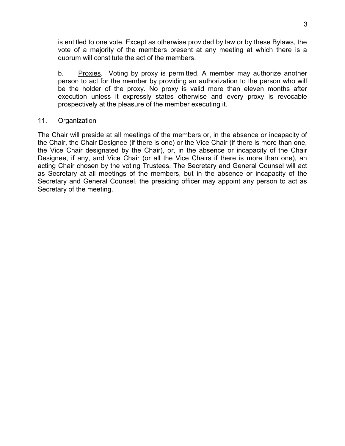is entitled to one vote. Except as otherwise provided by law or by these Bylaws, the vote of a majority of the members present at any meeting at which there is a quorum will constitute the act of the members.

b. Proxies. Voting by proxy is permitted. A member may authorize another person to act for the member by providing an authorization to the person who will be the holder of the proxy. No proxy is valid more than eleven months after execution unless it expressly states otherwise and every proxy is revocable prospectively at the pleasure of the member executing it.

#### 11. Organization

The Chair will preside at all meetings of the members or, in the absence or incapacity of the Chair, the Chair Designee (if there is one) or the Vice Chair (if there is more than one, the Vice Chair designated by the Chair), or, in the absence or incapacity of the Chair Designee, if any, and Vice Chair (or all the Vice Chairs if there is more than one), an acting Chair chosen by the voting Trustees. The Secretary and General Counsel will act as Secretary at all meetings of the members, but in the absence or incapacity of the Secretary and General Counsel, the presiding officer may appoint any person to act as Secretary of the meeting.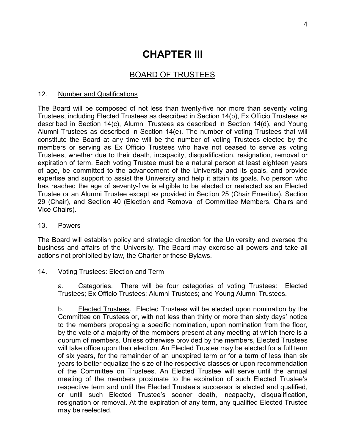# **CHAPTER III**

# BOARD OF TRUSTEES

#### 12. Number and Qualifications

The Board will be composed of not less than twenty-five nor more than seventy voting Trustees, including Elected Trustees as described in Section 14(b), Ex Officio Trustees as described in Section 14(c), Alumni Trustees as described in Section 14(d), and Young Alumni Trustees as described in Section 14(e). The number of voting Trustees that will constitute the Board at any time will be the number of voting Trustees elected by the members or serving as Ex Officio Trustees who have not ceased to serve as voting Trustees, whether due to their death, incapacity, disqualification, resignation, removal or expiration of term. Each voting Trustee must be a natural person at least eighteen years of age, be committed to the advancement of the University and its goals, and provide expertise and support to assist the University and help it attain its goals. No person who has reached the age of seventy-five is eligible to be elected or reelected as an Elected Trustee or an Alumni Trustee except as provided in Section 25 (Chair Emeritus), Section 29 (Chair), and Section 40 (Election and Removal of Committee Members, Chairs and Vice Chairs).

#### 13. Powers

The Board will establish policy and strategic direction for the University and oversee the business and affairs of the University. The Board may exercise all powers and take all actions not prohibited by law, the Charter or these Bylaws.

#### 14. Voting Trustees: Election and Term

a. Categories. There will be four categories of voting Trustees: Elected Trustees; Ex Officio Trustees; Alumni Trustees; and Young Alumni Trustees.

b. Elected Trustees. Elected Trustees will be elected upon nomination by the Committee on Trustees or, with not less than thirty or more than sixty days' notice to the members proposing a specific nomination, upon nomination from the floor, by the vote of a majority of the members present at any meeting at which there is a quorum of members. Unless otherwise provided by the members, Elected Trustees will take office upon their election. An Elected Trustee may be elected for a full term of six years, for the remainder of an unexpired term or for a term of less than six years to better equalize the size of the respective classes or upon recommendation of the Committee on Trustees. An Elected Trustee will serve until the annual meeting of the members proximate to the expiration of such Elected Trustee's respective term and until the Elected Trustee's successor is elected and qualified, or until such Elected Trustee's sooner death, incapacity, disqualification, resignation or removal. At the expiration of any term, any qualified Elected Trustee may be reelected.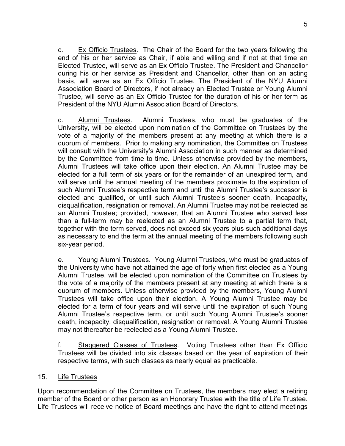c. Ex Officio Trustees. The Chair of the Board for the two years following the end of his or her service as Chair, if able and willing and if not at that time an Elected Trustee, will serve as an Ex Officio Trustee. The President and Chancellor during his or her service as President and Chancellor, other than on an acting basis, will serve as an Ex Officio Trustee. The President of the NYU Alumni Association Board of Directors, if not already an Elected Trustee or Young Alumni Trustee, will serve as an Ex Officio Trustee for the duration of his or her term as President of the NYU Alumni Association Board of Directors.

d. Alumni Trustees. Alumni Trustees, who must be graduates of the University, will be elected upon nomination of the Committee on Trustees by the vote of a majority of the members present at any meeting at which there is a quorum of members. Prior to making any nomination, the Committee on Trustees will consult with the University's Alumni Association in such manner as determined by the Committee from time to time. Unless otherwise provided by the members, Alumni Trustees will take office upon their election. An Alumni Trustee may be elected for a full term of six years or for the remainder of an unexpired term, and will serve until the annual meeting of the members proximate to the expiration of such Alumni Trustee's respective term and until the Alumni Trustee's successor is elected and qualified, or until such Alumni Trustee's sooner death, incapacity, disqualification, resignation or removal. An Alumni Trustee may not be reelected as an Alumni Trustee; provided, however, that an Alumni Trustee who served less than a full-term may be reelected as an Alumni Trustee to a partial term that, together with the term served, does not exceed six years plus such additional days as necessary to end the term at the annual meeting of the members following such six-year period.

e. Young Alumni Trustees. Young Alumni Trustees, who must be graduates of the University who have not attained the age of forty when first elected as a Young Alumni Trustee, will be elected upon nomination of the Committee on Trustees by the vote of a majority of the members present at any meeting at which there is a quorum of members. Unless otherwise provided by the members, Young Alumni Trustees will take office upon their election. A Young Alumni Trustee may be elected for a term of four years and will serve until the expiration of such Young Alumni Trustee's respective term, or until such Young Alumni Trustee's sooner death, incapacity, disqualification, resignation or removal. A Young Alumni Trustee may not thereafter be reelected as a Young Alumni Trustee.

f. Staggered Classes of Trustees. Voting Trustees other than Ex Officio Trustees will be divided into six classes based on the year of expiration of their respective terms, with such classes as nearly equal as practicable.

#### 15. Life Trustees

Upon recommendation of the Committee on Trustees, the members may elect a retiring member of the Board or other person as an Honorary Trustee with the title of Life Trustee. Life Trustees will receive notice of Board meetings and have the right to attend meetings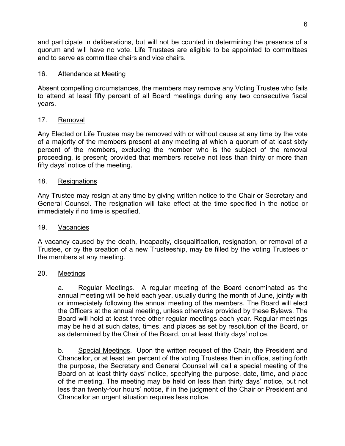and participate in deliberations, but will not be counted in determining the presence of a quorum and will have no vote. Life Trustees are eligible to be appointed to committees and to serve as committee chairs and vice chairs.

#### 16. Attendance at Meeting

Absent compelling circumstances, the members may remove any Voting Trustee who fails to attend at least fifty percent of all Board meetings during any two consecutive fiscal years.

#### 17. Removal

Any Elected or Life Trustee may be removed with or without cause at any time by the vote of a majority of the members present at any meeting at which a quorum of at least sixty percent of the members, excluding the member who is the subject of the removal proceeding, is present; provided that members receive not less than thirty or more than fifty days' notice of the meeting.

#### 18. Resignations

Any Trustee may resign at any time by giving written notice to the Chair or Secretary and General Counsel. The resignation will take effect at the time specified in the notice or immediately if no time is specified.

#### 19. Vacancies

A vacancy caused by the death, incapacity, disqualification, resignation, or removal of a Trustee, or by the creation of a new Trusteeship, may be filled by the voting Trustees or the members at any meeting.

#### 20. Meetings

a. Regular Meetings. A regular meeting of the Board denominated as the annual meeting will be held each year, usually during the month of June, jointly with or immediately following the annual meeting of the members. The Board will elect the Officers at the annual meeting, unless otherwise provided by these Bylaws. The Board will hold at least three other regular meetings each year. Regular meetings may be held at such dates, times, and places as set by resolution of the Board, or as determined by the Chair of the Board, on at least thirty days' notice.

b. Special Meetings. Upon the written request of the Chair, the President and Chancellor, or at least ten percent of the voting Trustees then in office, setting forth the purpose, the Secretary and General Counsel will call a special meeting of the Board on at least thirty days' notice, specifying the purpose, date, time, and place of the meeting. The meeting may be held on less than thirty days' notice, but not less than twenty-four hours' notice, if in the judgment of the Chair or President and Chancellor an urgent situation requires less notice.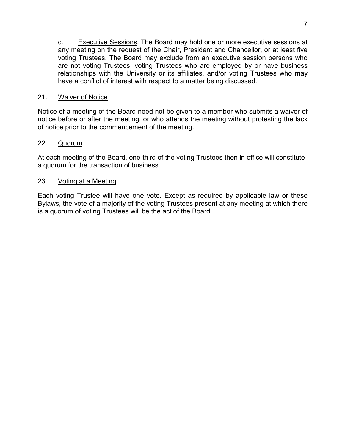c. Executive Sessions. The Board may hold one or more executive sessions at any meeting on the request of the Chair, President and Chancellor, or at least five voting Trustees. The Board may exclude from an executive session persons who are not voting Trustees, voting Trustees who are employed by or have business relationships with the University or its affiliates, and/or voting Trustees who may have a conflict of interest with respect to a matter being discussed.

#### 21. Waiver of Notice

Notice of a meeting of the Board need not be given to a member who submits a waiver of notice before or after the meeting, or who attends the meeting without protesting the lack of notice prior to the commencement of the meeting.

#### 22. Quorum

At each meeting of the Board, one-third of the voting Trustees then in office will constitute a quorum for the transaction of business.

#### 23. Voting at a Meeting

Each voting Trustee will have one vote. Except as required by applicable law or these Bylaws, the vote of a majority of the voting Trustees present at any meeting at which there is a quorum of voting Trustees will be the act of the Board.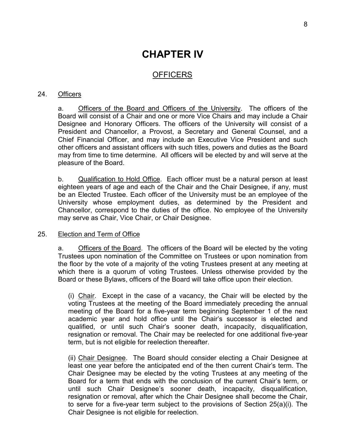# **CHAPTER IV**

## **OFFICERS**

#### 24. Officers

a. Officers of the Board and Officers of the University. The officers of the Board will consist of a Chair and one or more Vice Chairs and may include a Chair Designee and Honorary Officers. The officers of the University will consist of a President and Chancellor, a Provost, a Secretary and General Counsel, and a Chief Financial Officer, and may include an Executive Vice President and such other officers and assistant officers with such titles, powers and duties as the Board may from time to time determine. All officers will be elected by and will serve at the pleasure of the Board.

b. Qualification to Hold Office. Each officer must be a natural person at least eighteen years of age and each of the Chair and the Chair Designee, if any, must be an Elected Trustee. Each officer of the University must be an employee of the University whose employment duties, as determined by the President and Chancellor, correspond to the duties of the office. No employee of the University may serve as Chair, Vice Chair, or Chair Designee.

#### 25. Election and Term of Office

a. Officers of the Board. The officers of the Board will be elected by the voting Trustees upon nomination of the Committee on Trustees or upon nomination from the floor by the vote of a majority of the voting Trustees present at any meeting at which there is a quorum of voting Trustees. Unless otherwise provided by the Board or these Bylaws, officers of the Board will take office upon their election.

(i) Chair. Except in the case of a vacancy, the Chair will be elected by the voting Trustees at the meeting of the Board immediately preceding the annual meeting of the Board for a five-year term beginning September 1 of the next academic year and hold office until the Chair's successor is elected and qualified, or until such Chair's sooner death, incapacity, disqualification, resignation or removal. The Chair may be reelected for one additional five-year term, but is not eligible for reelection thereafter.

(ii) Chair Designee. The Board should consider electing a Chair Designee at least one year before the anticipated end of the then current Chair's term. The Chair Designee may be elected by the voting Trustees at any meeting of the Board for a term that ends with the conclusion of the current Chair's term, or until such Chair Designee's sooner death, incapacity, disqualification, resignation or removal, after which the Chair Designee shall become the Chair, to serve for a five-year term subject to the provisions of Section 25(a)(i). The Chair Designee is not eligible for reelection.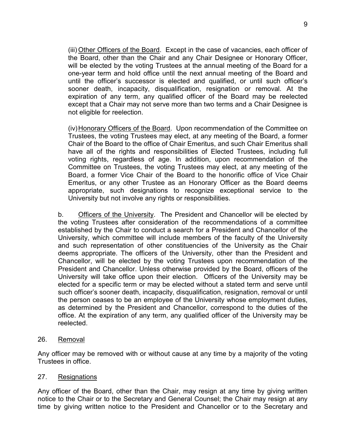(iii) Other Officers of the Board. Except in the case of vacancies, each officer of the Board, other than the Chair and any Chair Designee or Honorary Officer, will be elected by the voting Trustees at the annual meeting of the Board for a one-year term and hold office until the next annual meeting of the Board and until the officer's successor is elected and qualified, or until such officer's sooner death, incapacity, disqualification, resignation or removal. At the expiration of any term, any qualified officer of the Board may be reelected except that a Chair may not serve more than two terms and a Chair Designee is not eligible for reelection.

(iv)Honorary Officers of the Board. Upon recommendation of the Committee on Trustees, the voting Trustees may elect, at any meeting of the Board, a former Chair of the Board to the office of Chair Emeritus, and such Chair Emeritus shall have all of the rights and responsibilities of Elected Trustees, including full voting rights, regardless of age. In addition, upon recommendation of the Committee on Trustees, the voting Trustees may elect, at any meeting of the Board, a former Vice Chair of the Board to the honorific office of Vice Chair Emeritus, or any other Trustee as an Honorary Officer as the Board deems appropriate, such designations to recognize exceptional service to the University but not involve any rights or responsibilities.

b. Officers of the University. The President and Chancellor will be elected by the voting Trustees after consideration of the recommendations of a committee established by the Chair to conduct a search for a President and Chancellor of the University, which committee will include members of the faculty of the University and such representation of other constituencies of the University as the Chair deems appropriate. The officers of the University, other than the President and Chancellor, will be elected by the voting Trustees upon recommendation of the President and Chancellor. Unless otherwise provided by the Board, officers of the University will take office upon their election. Officers of the University may be elected for a specific term or may be elected without a stated term and serve until such officer's sooner death, incapacity, disqualification, resignation, removal or until the person ceases to be an employee of the University whose employment duties, as determined by the President and Chancellor, correspond to the duties of the office. At the expiration of any term, any qualified officer of the University may be reelected.

26. Removal

Any officer may be removed with or without cause at any time by a majority of the voting Trustees in office.

#### 27. Resignations

Any officer of the Board, other than the Chair, may resign at any time by giving written notice to the Chair or to the Secretary and General Counsel; the Chair may resign at any time by giving written notice to the President and Chancellor or to the Secretary and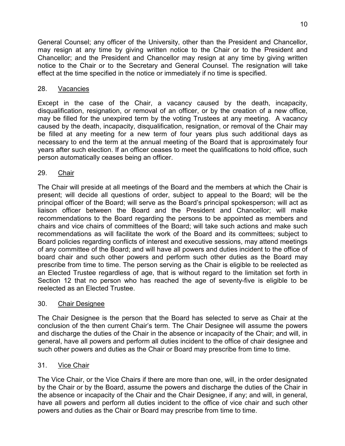General Counsel; any officer of the University, other than the President and Chancellor, may resign at any time by giving written notice to the Chair or to the President and Chancellor; and the President and Chancellor may resign at any time by giving written notice to the Chair or to the Secretary and General Counsel. The resignation will take effect at the time specified in the notice or immediately if no time is specified.

#### 28. Vacancies

Except in the case of the Chair, a vacancy caused by the death, incapacity, disqualification, resignation, or removal of an officer, or by the creation of a new office, may be filled for the unexpired term by the voting Trustees at any meeting. A vacancy caused by the death, incapacity, disqualification, resignation, or removal of the Chair may be filled at any meeting for a new term of four years plus such additional days as necessary to end the term at the annual meeting of the Board that is approximately four years after such election. If an officer ceases to meet the qualifications to hold office, such person automatically ceases being an officer.

#### 29. Chair

The Chair will preside at all meetings of the Board and the members at which the Chair is present; will decide all questions of order, subject to appeal to the Board; will be the principal officer of the Board; will serve as the Board's principal spokesperson; will act as liaison officer between the Board and the President and Chancellor; will make recommendations to the Board regarding the persons to be appointed as members and chairs and vice chairs of committees of the Board; will take such actions and make such recommendations as will facilitate the work of the Board and its committees; subject to Board policies regarding conflicts of interest and executive sessions, may attend meetings of any committee of the Board; and will have all powers and duties incident to the office of board chair and such other powers and perform such other duties as the Board may prescribe from time to time. The person serving as the Chair is eligible to be reelected as an Elected Trustee regardless of age, that is without regard to the limitation set forth in Section 12 that no person who has reached the age of seventy-five is eligible to be reelected as an Elected Trustee.

### 30. Chair Designee

The Chair Designee is the person that the Board has selected to serve as Chair at the conclusion of the then current Chair's term. The Chair Designee will assume the powers and discharge the duties of the Chair in the absence or incapacity of the Chair; and will, in general, have all powers and perform all duties incident to the office of chair designee and such other powers and duties as the Chair or Board may prescribe from time to time.

### 31. Vice Chair

The Vice Chair, or the Vice Chairs if there are more than one, will, in the order designated by the Chair or by the Board, assume the powers and discharge the duties of the Chair in the absence or incapacity of the Chair and the Chair Designee, if any; and will, in general, have all powers and perform all duties incident to the office of vice chair and such other powers and duties as the Chair or Board may prescribe from time to time.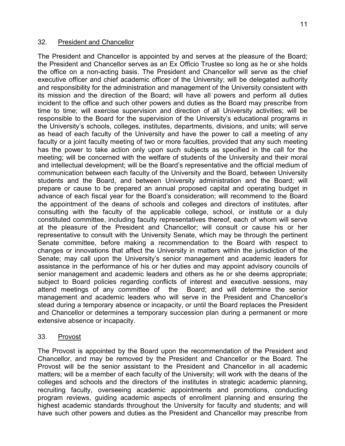The President and Chancellor is appointed by and serves at the pleasure of the Board; the President and Chancellor serves as an Ex Officio Trustee so long as he or she holds the office on a non-acting basis. The President and Chancellor will serve as the chief executive officer and chief academic officer of the University; will be delegated authority and responsibility for the administration and management of the University consistent with its mission and the direction of the Board; will have all powers and perform all duties incident to the office and such other powers and duties as the Board may prescribe from time to time; will exercise supervision and direction of all University activities; will be responsible to the Board for the supervision of the University's educational programs in the University's schools, colleges, institutes, departments, divisions, and units; will serve as head of each faculty of the University and have the power to call a meeting of any faculty or a joint faculty meeting of two or more faculties, provided that any such meeting has the power to take action only upon such subjects as specified in the call for the meeting; will be concerned with the welfare of students of the University and their moral and intellectual development; will be the Board's representative and the official medium of communication between each faculty of the University and the Board, between University students and the Board, and between University administration and the Board; will prepare or cause to be prepared an annual proposed capital and operating budget in advance of each fiscal year for the Board's consideration; will recommend to the Board the appointment of the deans of schools and colleges and directors of institutes, after consulting with the faculty of the applicable college, school, or institute or a duly constituted committee, including faculty representatives thereof, each of whom will serve at the pleasure of the President and Chancellor; will consult or cause his or her representative to consult with the University Senate, which may be through the pertinent Senate committee, before making a recommendation to the Board with respect to changes or innovations that affect the University in matters within the jurisdiction of the Senate; may call upon the University's senior management and academic leaders for assistance in the performance of his or her duties and may appoint advisory councils of senior management and academic leaders and others as he or she deems appropriate; subject to Board policies regarding conflicts of interest and executive sessions, may attend meetings of any committee of the Board; and will determine the senior management and academic leaders who will serve in the President and Chancellor's stead during a temporary absence or incapacity, or until the Board replaces the President and Chancellor or determines a temporary succession plan during a permanent or more extensive absence or incapacity.

33. Provost

The Provost is appointed by the Board upon the recommendation of the President and Chancellor, and may be removed by the President and Chancellor or the Board. The Provost will be the senior assistant to the President and Chancellor in all academic matters; will be a member of each faculty of the University; will work with the deans of the colleges and schools and the directors of the institutes in strategic academic planning, recruiting faculty, overseeing academic appointments and promotions, conducting program reviews, guiding academic aspects of enrollment planning and ensuring the highest academic standards throughout the University for faculty and students; and will have such other powers and duties as the President and Chancellor may prescribe from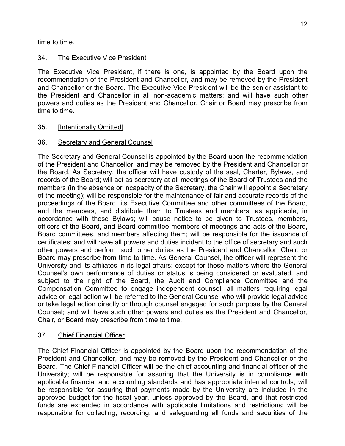time to time.

## 34. The Executive Vice President

The Executive Vice President, if there is one, is appointed by the Board upon the recommendation of the President and Chancellor, and may be removed by the President and Chancellor or the Board. The Executive Vice President will be the senior assistant to the President and Chancellor in all non-academic matters; and will have such other powers and duties as the President and Chancellor, Chair or Board may prescribe from time to time.

35. [Intentionally Omitted]

## 36. Secretary and General Counsel

The Secretary and General Counsel is appointed by the Board upon the recommendation of the President and Chancellor, and may be removed by the President and Chancellor or the Board. As Secretary, the officer will have custody of the seal, Charter, Bylaws, and records of the Board; will act as secretary at all meetings of the Board of Trustees and the members (in the absence or incapacity of the Secretary, the Chair will appoint a Secretary of the meeting); will be responsible for the maintenance of fair and accurate records of the proceedings of the Board, its Executive Committee and other committees of the Board, and the members, and distribute them to Trustees and members, as applicable, in accordance with these Bylaws; will cause notice to be given to Trustees, members, officers of the Board, and Board committee members of meetings and acts of the Board, Board committees, and members affecting them; will be responsible for the issuance of certificates; and will have all powers and duties incident to the office of secretary and such other powers and perform such other duties as the President and Chancellor, Chair, or Board may prescribe from time to time. As General Counsel, the officer will represent the University and its affiliates in its legal affairs; except for those matters where the General Counsel's own performance of duties or status is being considered or evaluated, and subject to the right of the Board, the Audit and Compliance Committee and the Compensation Committee to engage independent counsel, all matters requiring legal advice or legal action will be referred to the General Counsel who will provide legal advice or take legal action directly or through counsel engaged for such purpose by the General Counsel; and will have such other powers and duties as the President and Chancellor, Chair, or Board may prescribe from time to time.

### 37. Chief Financial Officer

The Chief Financial Officer is appointed by the Board upon the recommendation of the President and Chancellor, and may be removed by the President and Chancellor or the Board. The Chief Financial Officer will be the chief accounting and financial officer of the University; will be responsible for assuring that the University is in compliance with applicable financial and accounting standards and has appropriate internal controls; will be responsible for assuring that payments made by the University are included in the approved budget for the fiscal year, unless approved by the Board, and that restricted funds are expended in accordance with applicable limitations and restrictions; will be responsible for collecting, recording, and safeguarding all funds and securities of the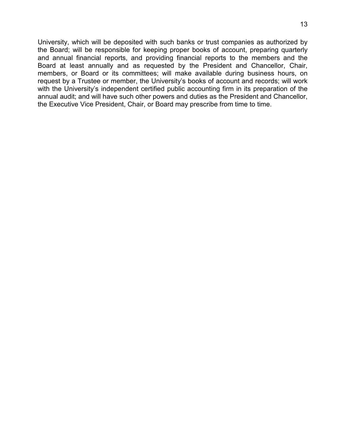University, which will be deposited with such banks or trust companies as authorized by the Board; will be responsible for keeping proper books of account, preparing quarterly and annual financial reports, and providing financial reports to the members and the Board at least annually and as requested by the President and Chancellor, Chair, members, or Board or its committees; will make available during business hours, on request by a Trustee or member, the University's books of account and records; will work with the University's independent certified public accounting firm in its preparation of the annual audit; and will have such other powers and duties as the President and Chancellor, the Executive Vice President, Chair, or Board may prescribe from time to time.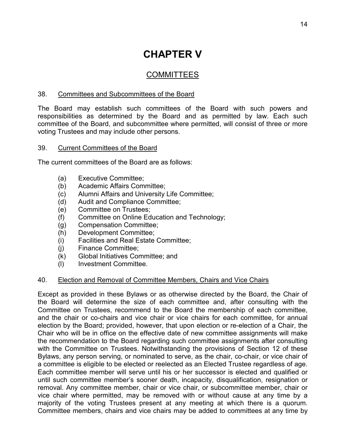# **CHAPTER V**

# COMMITTEES

#### 38. Committees and Subcommittees of the Board

The Board may establish such committees of the Board with such powers and responsibilities as determined by the Board and as permitted by law. Each such committee of the Board, and subcommittee where permitted, will consist of three or more voting Trustees and may include other persons.

#### 39. Current Committees of the Board

The current committees of the Board are as follows:

- (a) Executive Committee;
- (b) Academic Affairs Committee;
- (c) Alumni Affairs and University Life Committee;
- (d) Audit and Compliance Committee;
- (e) Committee on Trustees;
- (f) Committee on Online Education and Technology;
- (g) Compensation Committee;
- (h) Development Committee;
- (i) Facilities and Real Estate Committee;
- (j) Finance Committee;
- (k) Global Initiatives Committee; and
- (l) Investment Committee.

#### 40. Election and Removal of Committee Members, Chairs and Vice Chairs

Except as provided in these Bylaws or as otherwise directed by the Board, the Chair of the Board will determine the size of each committee and, after consulting with the Committee on Trustees, recommend to the Board the membership of each committee, and the chair or co-chairs and vice chair or vice chairs for each committee, for annual election by the Board; provided, however, that upon election or re-election of a Chair, the Chair who will be in office on the effective date of new committee assignments will make the recommendation to the Board regarding such committee assignments after consulting with the Committee on Trustees. Notwithstanding the provisions of Section 12 of these Bylaws, any person serving, or nominated to serve, as the chair, co-chair, or vice chair of a committee is eligible to be elected or reelected as an Elected Trustee regardless of age. Each committee member will serve until his or her successor is elected and qualified or until such committee member's sooner death, incapacity, disqualification, resignation or removal. Any committee member, chair or vice chair, or subcommittee member, chair or vice chair where permitted, may be removed with or without cause at any time by a majority of the voting Trustees present at any meeting at which there is a quorum. Committee members, chairs and vice chairs may be added to committees at any time by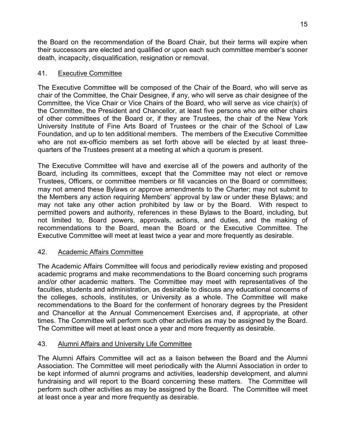the Board on the recommendation of the Board Chair, but their terms will expire when their successors are elected and qualified or upon each such committee member's sooner death, incapacity, disqualification, resignation or removal.

#### 41. Executive Committee

The Executive Committee will be composed of the Chair of the Board, who will serve as chair of the Committee, the Chair Designee, if any, who will serve as chair designee of the Committee, the Vice Chair or Vice Chairs of the Board, who will serve as vice chair(s) of the Committee, the President and Chancellor, at least five persons who are either chairs of other committees of the Board or, if they are Trustees, the chair of the New York University Institute of Fine Arts Board of Trustees or the chair of the School of Law Foundation, and up to ten additional members. The members of the Executive Committee who are not ex-officio members as set forth above will be elected by at least threequarters of the Trustees present at a meeting at which a quorum is present.

The Executive Committee will have and exercise all of the powers and authority of the Board, including its committees, except that the Committee may not elect or remove Trustees, Officers, or committee members or fill vacancies on the Board or committees; may not amend these Bylaws or approve amendments to the Charter; may not submit to the Members any action requiring Members' approval by law or under these Bylaws; and may not take any other action prohibited by law or by the Board. With respect to permitted powers and authority, references in these Bylaws to the Board, including, but not limited to, Board powers, approvals, actions, and duties, and the making of recommendations to the Board, mean the Board or the Executive Committee. The Executive Committee will meet at least twice a year and more frequently as desirable.

### 42. Academic Affairs Committee

The Academic Affairs Committee will focus and periodically review existing and proposed academic programs and make recommendations to the Board concerning such programs and/or other academic matters. The Committee may meet with representatives of the faculties, students and administration, as desirable to discuss any educational concerns of the colleges, schools, institutes, or University as a whole. The Committee will make recommendations to the Board for the conferment of honorary degrees by the President and Chancellor at the Annual Commencement Exercises and, if appropriate, at other times. The Committee will perform such other activities as may be assigned by the Board. The Committee will meet at least once a year and more frequently as desirable.

### 43. Alumni Affairs and University Life Committee

The Alumni Affairs Committee will act as a liaison between the Board and the Alumni Association. The Committee will meet periodically with the Alumni Association in order to be kept informed of alumni programs and activities, leadership development, and alumni fundraising and will report to the Board concerning these matters. The Committee will perform such other activities as may be assigned by the Board. The Committee will meet at least once a year and more frequently as desirable.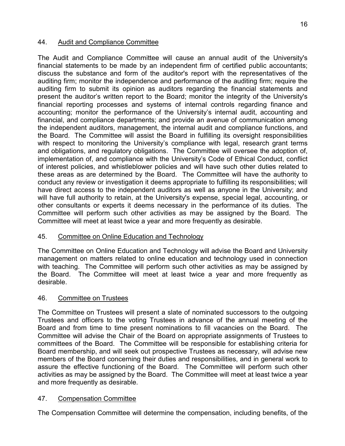#### 44. Audit and Compliance Committee

The Audit and Compliance Committee will cause an annual audit of the University's financial statements to be made by an independent firm of certified public accountants; discuss the substance and form of the auditor's report with the representatives of the auditing firm; monitor the independence and performance of the auditing firm; require the auditing firm to submit its opinion as auditors regarding the financial statements and present the auditor's written report to the Board; monitor the integrity of the University's financial reporting processes and systems of internal controls regarding finance and accounting; monitor the performance of the University's internal audit, accounting and financial, and compliance departments; and provide an avenue of communication among the independent auditors, management, the internal audit and compliance functions, and the Board. The Committee will assist the Board in fulfilling its oversight responsibilities with respect to monitoring the University's compliance with legal, research grant terms and obligations, and regulatory obligations. The Committee will oversee the adoption of, implementation of, and compliance with the University's Code of Ethical Conduct, conflict of interest policies, and whistleblower policies and will have such other duties related to these areas as are determined by the Board. The Committee will have the authority to conduct any review or investigation it deems appropriate to fulfilling its responsibilities; will have direct access to the independent auditors as well as anyone in the University; and will have full authority to retain, at the University's expense, special legal, accounting, or other consultants or experts it deems necessary in the performance of its duties. The Committee will perform such other activities as may be assigned by the Board. The Committee will meet at least twice a year and more frequently as desirable.

#### 45. Committee on Online Education and Technology

The Committee on Online Education and Technology will advise the Board and University management on matters related to online education and technology used in connection with teaching. The Committee will perform such other activities as may be assigned by the Board. The Committee will meet at least twice a year and more frequently as desirable.

#### 46. Committee on Trustees

The Committee on Trustees will present a slate of nominated successors to the outgoing Trustees and officers to the voting Trustees in advance of the annual meeting of the Board and from time to time present nominations to fill vacancies on the Board. The Committee will advise the Chair of the Board on appropriate assignments of Trustees to committees of the Board. The Committee will be responsible for establishing criteria for Board membership, and will seek out prospective Trustees as necessary, will advise new members of the Board concerning their duties and responsibilities, and in general work to assure the effective functioning of the Board. The Committee will perform such other activities as may be assigned by the Board. The Committee will meet at least twice a year and more frequently as desirable.

#### 47. Compensation Committee

The Compensation Committee will determine the compensation, including benefits, of the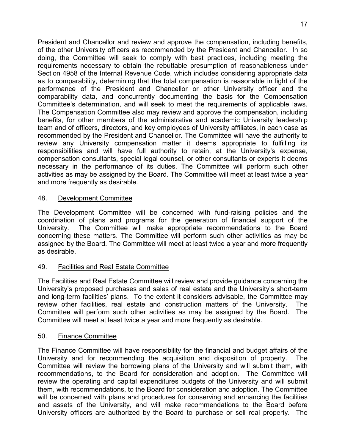President and Chancellor and review and approve the compensation, including benefits, of the other University officers as recommended by the President and Chancellor. In so doing, the Committee will seek to comply with best practices, including meeting the requirements necessary to obtain the rebuttable presumption of reasonableness under Section 4958 of the Internal Revenue Code, which includes considering appropriate data as to comparability, determining that the total compensation is reasonable in light of the performance of the President and Chancellor or other University officer and the comparability data, and concurrently documenting the basis for the Compensation Committee's determination, and will seek to meet the requirements of applicable laws. The Compensation Committee also may review and approve the compensation, including benefits, for other members of the administrative and academic University leadership team and of officers, directors, and key employees of University affiliates, in each case as recommended by the President and Chancellor. The Committee will have the authority to review any University compensation matter it deems appropriate to fulfilling its responsibilities and will have full authority to retain, at the University's expense, compensation consultants, special legal counsel, or other consultants or experts it deems necessary in the performance of its duties. The Committee will perform such other activities as may be assigned by the Board. The Committee will meet at least twice a year and more frequently as desirable.

#### 48. Development Committee

The Development Committee will be concerned with fund-raising policies and the coordination of plans and programs for the generation of financial support of the University. The Committee will make appropriate recommendations to the Board concerning these matters. The Committee will perform such other activities as may be assigned by the Board. The Committee will meet at least twice a year and more frequently as desirable.

### 49. Facilities and Real Estate Committee

The Facilities and Real Estate Committee will review and provide guidance concerning the University's proposed purchases and sales of real estate and the University's short-term and long-term facilities' plans. To the extent it considers advisable, the Committee may review other facilities, real estate and construction matters of the University. The Committee will perform such other activities as may be assigned by the Board. The Committee will meet at least twice a year and more frequently as desirable.

#### 50. Finance Committee

The Finance Committee will have responsibility for the financial and budget affairs of the University and for recommending the acquisition and disposition of property. The Committee will review the borrowing plans of the University and will submit them, with recommendations, to the Board for consideration and adoption. The Committee will review the operating and capital expenditures budgets of the University and will submit them, with recommendations, to the Board for consideration and adoption. The Committee will be concerned with plans and procedures for conserving and enhancing the facilities and assets of the University, and will make recommendations to the Board before University officers are authorized by the Board to purchase or sell real property. The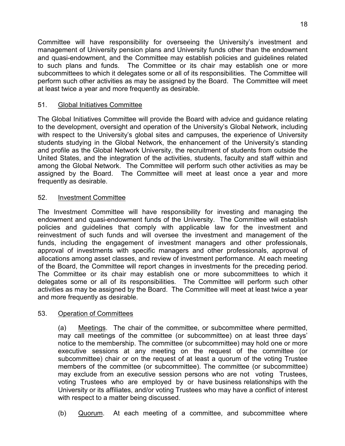Committee will have responsibility for overseeing the University's investment and management of University pension plans and University funds other than the endowment and quasi-endowment, and the Committee may establish policies and guidelines related to such plans and funds. The Committee or its chair may establish one or more subcommittees to which it delegates some or all of its responsibilities. The Committee will perform such other activities as may be assigned by the Board. The Committee will meet at least twice a year and more frequently as desirable.

## 51. Global Initiatives Committee

The Global Initiatives Committee will provide the Board with advice and guidance relating to the development, oversight and operation of the University's Global Network, including with respect to the University's global sites and campuses, the experience of University students studying in the Global Network, the enhancement of the University's standing and profile as the Global Network University, the recruitment of students from outside the United States, and the integration of the activities, students, faculty and staff within and among the Global Network. The Committee will perform such other activities as may be assigned by the Board. The Committee will meet at least once a year and more frequently as desirable.

### 52. Investment Committee

The Investment Committee will have responsibility for investing and managing the endowment and quasi-endowment funds of the University. The Committee will establish policies and guidelines that comply with applicable law for the investment and reinvestment of such funds and will oversee the investment and management of the funds, including the engagement of investment managers and other professionals, approval of investments with specific managers and other professionals, approval of allocations among asset classes, and review of investment performance. At each meeting of the Board, the Committee will report changes in investments for the preceding period. The Committee or its chair may establish one or more subcommittees to which it delegates some or all of its responsibilities. The Committee will perform such other activities as may be assigned by the Board. The Committee will meet at least twice a year and more frequently as desirable.

### 53. Operation of Committees

(a) Meetings. The chair of the committee, or subcommittee where permitted, may call meetings of the committee (or subcommittee) on at least three days' notice to the membership. The committee (or subcommittee) may hold one or more executive sessions at any meeting on the request of the committee (or subcommittee) chair or on the request of at least a quorum of the voting Trustee members of the committee (or subcommittee). The committee (or subcommittee) may exclude from an executive session persons who are not voting Trustees, voting Trustees who are employed by or have business relationships with the University or its affiliates, and/or voting Trustees who may have a conflict of interest with respect to a matter being discussed.

(b) Quorum. At each meeting of a committee, and subcommittee where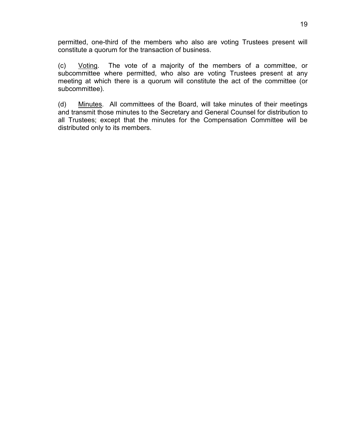permitted, one-third of the members who also are voting Trustees present will constitute a quorum for the transaction of business.

(c) Voting. The vote of a majority of the members of a committee, or subcommittee where permitted, who also are voting Trustees present at any meeting at which there is a quorum will constitute the act of the committee (or subcommittee).

(d) Minutes. All committees of the Board, will take minutes of their meetings and transmit those minutes to the Secretary and General Counsel for distribution to all Trustees; except that the minutes for the Compensation Committee will be distributed only to its members.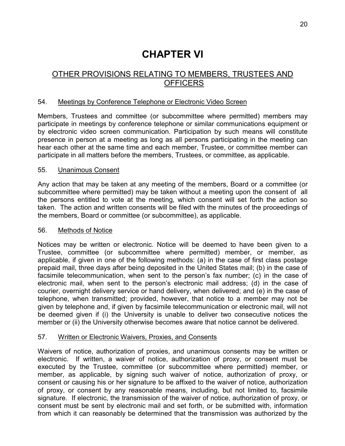# **CHAPTER VI**

# OTHER PROVISIONS RELATING TO MEMBERS, TRUSTEES AND **OFFICERS**

#### 54. Meetings by Conference Telephone or Electronic Video Screen

Members, Trustees and committee (or subcommittee where permitted) members may participate in meetings by conference telephone or similar communications equipment or by electronic video screen communication. Participation by such means will constitute presence in person at a meeting as long as all persons participating in the meeting can hear each other at the same time and each member, Trustee, or committee member can participate in all matters before the members, Trustees, or committee, as applicable.

#### 55. Unanimous Consent

Any action that may be taken at any meeting of the members, Board or a committee (or subcommittee where permitted) may be taken without a meeting upon the consent of all the persons entitled to vote at the meeting, which consent will set forth the action so taken. The action and written consents will be filed with the minutes of the proceedings of the members, Board or committee (or subcommittee), as applicable.

#### 56. Methods of Notice

Notices may be written or electronic. Notice will be deemed to have been given to a Trustee, committee (or subcommittee where permitted) member, or member, as applicable, if given in one of the following methods: (a) in the case of first class postage prepaid mail, three days after being deposited in the United States mail; (b) in the case of facsimile telecommunication, when sent to the person's fax number; (c) in the case of electronic mail, when sent to the person's electronic mail address; (d) in the case of courier, overnight delivery service or hand delivery, when delivered; and (e) in the case of telephone, when transmitted; provided, however, that notice to a member may not be given by telephone and, if given by facsimile telecommunication or electronic mail, will not be deemed given if (i) the University is unable to deliver two consecutive notices the member or (ii) the University otherwise becomes aware that notice cannot be delivered.

#### 57. Written or Electronic Waivers, Proxies, and Consents

Waivers of notice, authorization of proxies, and unanimous consents may be written or electronic. If written, a waiver of notice, authorization of proxy, or consent must be executed by the Trustee, committee (or subcommittee where permitted) member, or member, as applicable, by signing such waiver of notice, authorization of proxy, or consent or causing his or her signature to be affixed to the waiver of notice, authorization of proxy, or consent by any reasonable means, including, but not limited to, facsimile signature. If electronic, the transmission of the waiver of notice, authorization of proxy, or consent must be sent by electronic mail and set forth, or be submitted with, information from which it can reasonably be determined that the transmission was authorized by the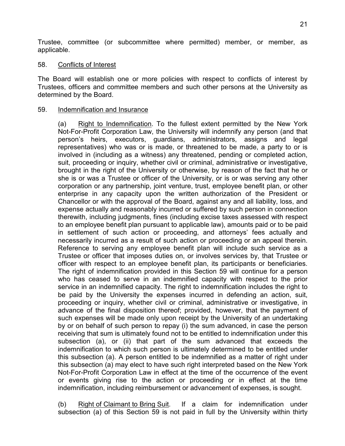Trustee, committee (or subcommittee where permitted) member, or member, as applicable.

#### 58. Conflicts of Interest

The Board will establish one or more policies with respect to conflicts of interest by Trustees, officers and committee members and such other persons at the University as determined by the Board.

#### 59. Indemnification and Insurance

(a) Right to Indemnification. To the fullest extent permitted by the New York Not-For-Profit Corporation Law, the University will indemnify any person (and that person's heirs, executors, guardians, administrators, assigns and legal representatives) who was or is made, or threatened to be made, a party to or is involved in (including as a witness) any threatened, pending or completed action, suit, proceeding or inquiry, whether civil or criminal, administrative or investigative, brought in the right of the University or otherwise, by reason of the fact that he or she is or was a Trustee or officer of the University, or is or was serving any other corporation or any partnership, joint venture, trust, employee benefit plan, or other enterprise in any capacity upon the written authorization of the President or Chancellor or with the approval of the Board, against any and all liability, loss, and expense actually and reasonably incurred or suffered by such person in connection therewith, including judgments, fines (including excise taxes assessed with respect to an employee benefit plan pursuant to applicable law), amounts paid or to be paid in settlement of such action or proceeding, and attorneys' fees actually and necessarily incurred as a result of such action or proceeding or an appeal therein. Reference to serving any employee benefit plan will include such service as a Trustee or officer that imposes duties on, or involves services by, that Trustee or officer with respect to an employee benefit plan, its participants or beneficiaries. The right of indemnification provided in this Section 59 will continue for a person who has ceased to serve in an indemnified capacity with respect to the prior service in an indemnified capacity. The right to indemnification includes the right to be paid by the University the expenses incurred in defending an action, suit, proceeding or inquiry, whether civil or criminal, administrative or investigative, in advance of the final disposition thereof; provided, however, that the payment of such expenses will be made only upon receipt by the University of an undertaking by or on behalf of such person to repay (i) the sum advanced, in case the person receiving that sum is ultimately found not to be entitled to indemnification under this subsection (a), or (ii) that part of the sum advanced that exceeds the indemnification to which such person is ultimately determined to be entitled under this subsection (a). A person entitled to be indemnified as a matter of right under this subsection (a) may elect to have such right interpreted based on the New York Not-For-Profit Corporation Law in effect at the time of the occurrence of the event or events giving rise to the action or proceeding or in effect at the time indemnification, including reimbursement or advancement of expenses, is sought.

(b) Right of Claimant to Bring Suit. If a claim for indemnification under subsection (a) of this Section 59 is not paid in full by the University within thirty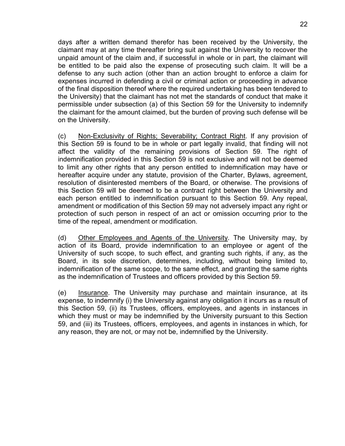days after a written demand therefor has been received by the University, the claimant may at any time thereafter bring suit against the University to recover the unpaid amount of the claim and, if successful in whole or in part, the claimant will be entitled to be paid also the expense of prosecuting such claim. It will be a defense to any such action (other than an action brought to enforce a claim for expenses incurred in defending a civil or criminal action or proceeding in advance of the final disposition thereof where the required undertaking has been tendered to the University) that the claimant has not met the standards of conduct that make it permissible under subsection (a) of this Section 59 for the University to indemnify the claimant for the amount claimed, but the burden of proving such defense will be on the University.

(c) Non-Exclusivity of Rights; Severability; Contract Right. If any provision of this Section 59 is found to be in whole or part legally invalid, that finding will not affect the validity of the remaining provisions of Section 59. The right of indemnification provided in this Section 59 is not exclusive and will not be deemed to limit any other rights that any person entitled to indemnification may have or hereafter acquire under any statute, provision of the Charter, Bylaws, agreement, resolution of disinterested members of the Board, or otherwise. The provisions of this Section 59 will be deemed to be a contract right between the University and each person entitled to indemnification pursuant to this Section 59. Any repeal, amendment or modification of this Section 59 may not adversely impact any right or protection of such person in respect of an act or omission occurring prior to the time of the repeal, amendment or modification.

(d) Other Employees and Agents of the University. The University may, by action of its Board, provide indemnification to an employee or agent of the University of such scope, to such effect, and granting such rights, if any, as the Board, in its sole discretion, determines, including, without being limited to, indemnification of the same scope, to the same effect, and granting the same rights as the indemnification of Trustees and officers provided by this Section 59.

(e) Insurance. The University may purchase and maintain insurance, at its expense, to indemnify (i) the University against any obligation it incurs as a result of this Section 59, (ii) its Trustees, officers, employees, and agents in instances in which they must or may be indemnified by the University pursuant to this Section 59, and (iii) its Trustees, officers, employees, and agents in instances in which, for any reason, they are not, or may not be, indemnified by the University.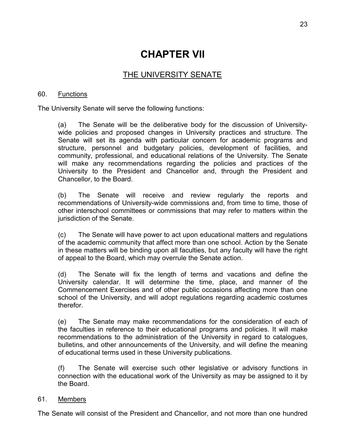# **CHAPTER VII**

# THE UNIVERSITY SENATE

#### 60. Functions

The University Senate will serve the following functions:

(a) The Senate will be the deliberative body for the discussion of Universitywide policies and proposed changes in University practices and structure. The Senate will set its agenda with particular concern for academic programs and structure, personnel and budgetary policies, development of facilities, and community, professional, and educational relations of the University. The Senate will make any recommendations regarding the policies and practices of the University to the President and Chancellor and, through the President and Chancellor, to the Board.

(b) The Senate will receive and review regularly the reports and recommendations of University-wide commissions and, from time to time, those of other interschool committees or commissions that may refer to matters within the jurisdiction of the Senate.

(c) The Senate will have power to act upon educational matters and regulations of the academic community that affect more than one school. Action by the Senate in these matters will be binding upon all faculties, but any faculty will have the right of appeal to the Board, which may overrule the Senate action.

(d) The Senate will fix the length of terms and vacations and define the University calendar. It will determine the time, place, and manner of the Commencement Exercises and of other public occasions affecting more than one school of the University, and will adopt regulations regarding academic costumes therefor.

(e) The Senate may make recommendations for the consideration of each of the faculties in reference to their educational programs and policies. It will make recommendations to the administration of the University in regard to catalogues, bulletins, and other announcements of the University, and will define the meaning of educational terms used in these University publications.

(f) The Senate will exercise such other legislative or advisory functions in connection with the educational work of the University as may be assigned to it by the Board.

#### 61. Members

The Senate will consist of the President and Chancellor, and not more than one hundred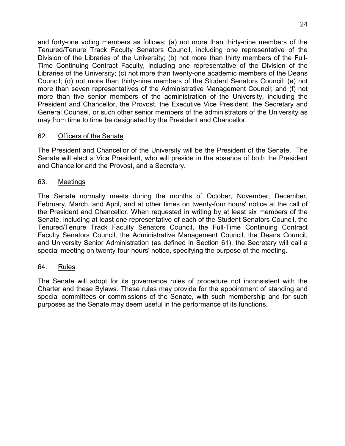and forty-one voting members as follows: (a) not more than thirty-nine members of the Tenured/Tenure Track Faculty Senators Council, including one representative of the Division of the Libraries of the University; (b) not more than thirty members of the Full-Time Continuing Contract Faculty, including one representative of the Division of the Libraries of the University; (c) not more than twenty-one academic members of the Deans Council; (d) not more than thirty-nine members of the Student Senators Council; (e) not more than seven representatives of the Administrative Management Council; and (f) not more than five senior members of the administration of the University, including the President and Chancellor, the Provost, the Executive Vice President, the Secretary and General Counsel, or such other senior members of the administrators of the University as may from time to time be designated by the President and Chancellor.

#### 62. Officers of the Senate

The President and Chancellor of the University will be the President of the Senate. The Senate will elect a Vice President, who will preside in the absence of both the President and Chancellor and the Provost, and a Secretary.

#### 63. Meetings

The Senate normally meets during the months of October, November, December, February, March, and April, and at other times on twenty-four hours' notice at the call of the President and Chancellor. When requested in writing by at least six members of the Senate, including at least one representative of each of the Student Senators Council, the Tenured/Tenure Track Faculty Senators Council, the Full-Time Continuing Contract Faculty Senators Council, the Administrative Management Council, the Deans Council, and University Senior Administration (as defined in Section 61), the Secretary will call a special meeting on twenty-four hours' notice, specifying the purpose of the meeting.

#### 64. Rules

The Senate will adopt for its governance rules of procedure not inconsistent with the Charter and these Bylaws. These rules may provide for the appointment of standing and special committees or commissions of the Senate, with such membership and for such purposes as the Senate may deem useful in the performance of its functions.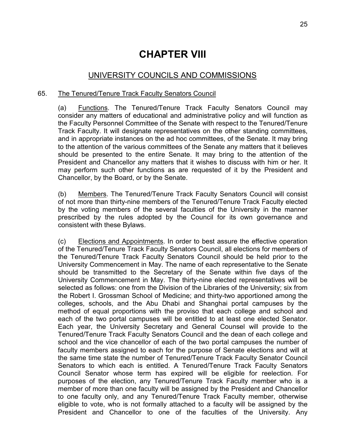# **CHAPTER VIII**

## UNIVERSITY COUNCILS AND COMMISSIONS

#### 65. The Tenured/Tenure Track Faculty Senators Council

(a) Functions. The Tenured/Tenure Track Faculty Senators Council may consider any matters of educational and administrative policy and will function as the Faculty Personnel Committee of the Senate with respect to the Tenured/Tenure Track Faculty. It will designate representatives on the other standing committees, and in appropriate instances on the ad hoc committees, of the Senate. It may bring to the attention of the various committees of the Senate any matters that it believes should be presented to the entire Senate. It may bring to the attention of the President and Chancellor any matters that it wishes to discuss with him or her. It may perform such other functions as are requested of it by the President and Chancellor, by the Board, or by the Senate.

(b) Members. The Tenured/Tenure Track Faculty Senators Council will consist of not more than thirty-nine members of the Tenured/Tenure Track Faculty elected by the voting members of the several faculties of the University in the manner prescribed by the rules adopted by the Council for its own governance and consistent with these Bylaws.

(c) Elections and Appointments. In order to best assure the effective operation of the Tenured/Tenure Track Faculty Senators Council, all elections for members of the Tenured/Tenure Track Faculty Senators Council should be held prior to the University Commencement in May. The name of each representative to the Senate should be transmitted to the Secretary of the Senate within five days of the University Commencement in May. The thirty-nine elected representatives will be selected as follows: one from the Division of the Libraries of the University; six from the Robert I. Grossman School of Medicine; and thirty-two apportioned among the colleges, schools, and the Abu Dhabi and Shanghai portal campuses by the method of equal proportions with the proviso that each college and school and each of the two portal campuses will be entitled to at least one elected Senator. Each year, the University Secretary and General Counsel will provide to the Tenured/Tenure Track Faculty Senators Council and the dean of each college and school and the vice chancellor of each of the two portal campuses the number of faculty members assigned to each for the purpose of Senate elections and will at the same time state the number of Tenured/Tenure Track Faculty Senator Council Senators to which each is entitled. A Tenured/Tenure Track Faculty Senators Council Senator whose term has expired will be eligible for reelection. For purposes of the election, any Tenured/Tenure Track Faculty member who is a member of more than one faculty will be assigned by the President and Chancellor to one faculty only, and any Tenured/Tenure Track Faculty member, otherwise eligible to vote, who is not formally attached to a faculty will be assigned by the President and Chancellor to one of the faculties of the University. Any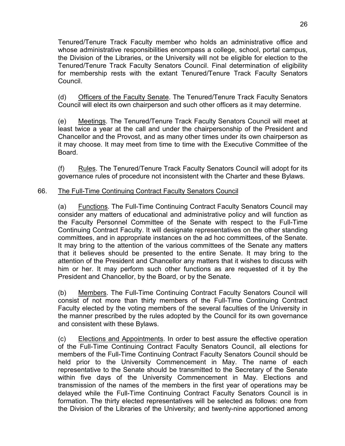Tenured/Tenure Track Faculty member who holds an administrative office and whose administrative responsibilities encompass a college, school, portal campus, the Division of the Libraries, or the University will not be eligible for election to the Tenured/Tenure Track Faculty Senators Council. Final determination of eligibility for membership rests with the extant Tenured/Tenure Track Faculty Senators Council.

(d) Officers of the Faculty Senate. The Tenured/Tenure Track Faculty Senators Council will elect its own chairperson and such other officers as it may determine.

(e) Meetings. The Tenured/Tenure Track Faculty Senators Council will meet at least twice a year at the call and under the chairpersonship of the President and Chancellor and the Provost, and as many other times under its own chairperson as it may choose. It may meet from time to time with the Executive Committee of the Board.

(f) Rules. The Tenured/Tenure Track Faculty Senators Council will adopt for its governance rules of procedure not inconsistent with the Charter and these Bylaws.

#### 66. The Full-Time Continuing Contract Faculty Senators Council

(a) Functions. The Full-Time Continuing Contract Faculty Senators Council may consider any matters of educational and administrative policy and will function as the Faculty Personnel Committee of the Senate with respect to the Full-Time Continuing Contract Faculty. It will designate representatives on the other standing committees, and in appropriate instances on the ad hoc committees, of the Senate. It may bring to the attention of the various committees of the Senate any matters that it believes should be presented to the entire Senate. It may bring to the attention of the President and Chancellor any matters that it wishes to discuss with him or her. It may perform such other functions as are requested of it by the President and Chancellor, by the Board, or by the Senate.

(b) Members. The Full-Time Continuing Contract Faculty Senators Council will consist of not more than thirty members of the Full-Time Continuing Contract Faculty elected by the voting members of the several faculties of the University in the manner prescribed by the rules adopted by the Council for its own governance and consistent with these Bylaws.

(c) Elections and Appointments. In order to best assure the effective operation of the Full-Time Continuing Contract Faculty Senators Council, all elections for members of the Full-Time Continuing Contract Faculty Senators Council should be held prior to the University Commencement in May. The name of each representative to the Senate should be transmitted to the Secretary of the Senate within five days of the University Commencement in May. Elections and transmission of the names of the members in the first year of operations may be delayed while the Full-Time Continuing Contract Faculty Senators Council is in formation. The thirty elected representatives will be selected as follows: one from the Division of the Libraries of the University; and twenty-nine apportioned among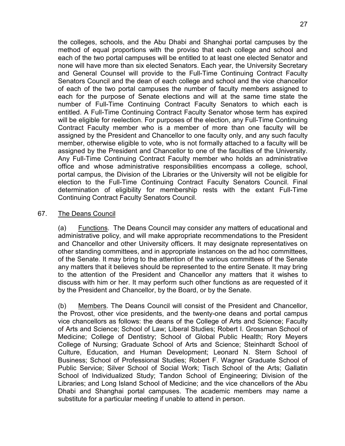the colleges, schools, and the Abu Dhabi and Shanghai portal campuses by the method of equal proportions with the proviso that each college and school and each of the two portal campuses will be entitled to at least one elected Senator and none will have more than six elected Senators. Each year, the University Secretary and General Counsel will provide to the Full-Time Continuing Contract Faculty Senators Council and the dean of each college and school and the vice chancellor of each of the two portal campuses the number of faculty members assigned to each for the purpose of Senate elections and will at the same time state the number of Full-Time Continuing Contract Faculty Senators to which each is entitled. A Full-Time Continuing Contract Faculty Senator whose term has expired will be eligible for reelection. For purposes of the election, any Full-Time Continuing Contract Faculty member who is a member of more than one faculty will be assigned by the President and Chancellor to one faculty only, and any such faculty member, otherwise eligible to vote, who is not formally attached to a faculty will be assigned by the President and Chancellor to one of the faculties of the University. Any Full-Time Continuing Contract Faculty member who holds an administrative office and whose administrative responsibilities encompass a college, school, portal campus, the Division of the Libraries or the University will not be eligible for election to the Full-Time Continuing Contract Faculty Senators Council. Final determination of eligibility for membership rests with the extant Full-Time Continuing Contract Faculty Senators Council.

#### 67. The Deans Council

(a) Functions. The Deans Council may consider any matters of educational and administrative policy, and will make appropriate recommendations to the President and Chancellor and other University officers. It may designate representatives on other standing committees, and in appropriate instances on the ad hoc committees, of the Senate. It may bring to the attention of the various committees of the Senate any matters that it believes should be represented to the entire Senate. It may bring to the attention of the President and Chancellor any matters that it wishes to discuss with him or her. It may perform such other functions as are requested of it by the President and Chancellor, by the Board, or by the Senate.

(b) Members. The Deans Council will consist of the President and Chancellor, the Provost, other vice presidents, and the twenty-one deans and portal campus vice chancellors as follows: the deans of the College of Arts and Science; Faculty of Arts and Science; School of Law; Liberal Studies; Robert I. Grossman School of Medicine; College of Dentistry; School of Global Public Health; Rory Meyers College of Nursing; Graduate School of Arts and Science; Steinhardt School of Culture, Education, and Human Development; Leonard N. Stern School of Business; School of Professional Studies; Robert F. Wagner Graduate School of Public Service; Silver School of Social Work; Tisch School of the Arts; Gallatin School of Individualized Study; Tandon School of Engineering; Division of the Libraries; and Long Island School of Medicine; and the vice chancellors of the Abu Dhabi and Shanghai portal campuses. The academic members may name a substitute for a particular meeting if unable to attend in person.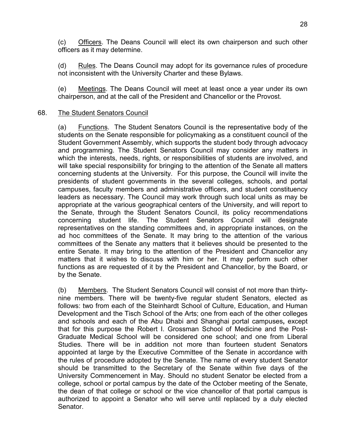(c) Officers. The Deans Council will elect its own chairperson and such other officers as it may determine.

(d) Rules. The Deans Council may adopt for its governance rules of procedure not inconsistent with the University Charter and these Bylaws.

(e) Meetings. The Deans Council will meet at least once a year under its own chairperson, and at the call of the President and Chancellor or the Provost.

#### 68. The Student Senators Council

(a) Functions. The Student Senators Council is the representative body of the students on the Senate responsible for policymaking as a constituent council of the Student Government Assembly, which supports the student body through advocacy and programming. The Student Senators Council may consider any matters in which the interests, needs, rights, or responsibilities of students are involved, and will take special responsibility for bringing to the attention of the Senate all matters concerning students at the University. For this purpose, the Council will invite the presidents of student governments in the several colleges, schools, and portal campuses, faculty members and administrative officers, and student constituency leaders as necessary. The Council may work through such local units as may be appropriate at the various geographical centers of the University, and will report to the Senate, through the Student Senators Council, its policy recommendations concerning student life. The Student Senators Council will designate representatives on the standing committees and, in appropriate instances, on the ad hoc committees of the Senate. It may bring to the attention of the various committees of the Senate any matters that it believes should be presented to the entire Senate. It may bring to the attention of the President and Chancellor any matters that it wishes to discuss with him or her. It may perform such other functions as are requested of it by the President and Chancellor, by the Board, or by the Senate.

(b) Members. The Student Senators Council will consist of not more than thirtynine members. There will be twenty-five regular student Senators, elected as follows: two from each of the Steinhardt School of Culture, Education, and Human Development and the Tisch School of the Arts; one from each of the other colleges and schools and each of the Abu Dhabi and Shanghai portal campuses**,** except that for this purpose the Robert I. Grossman School of Medicine and the Post-Graduate Medical School will be considered one school; and one from Liberal Studies. There will be in addition not more than fourteen student Senators appointed at large by the Executive Committee of the Senate in accordance with the rules of procedure adopted by the Senate. The name of every student Senator should be transmitted to the Secretary of the Senate within five days of the University Commencement in May. Should no student Senator be elected from a college, school or portal campus by the date of the October meeting of the Senate, the dean of that college or school or the vice chancellor of that portal campus is authorized to appoint a Senator who will serve until replaced by a duly elected Senator.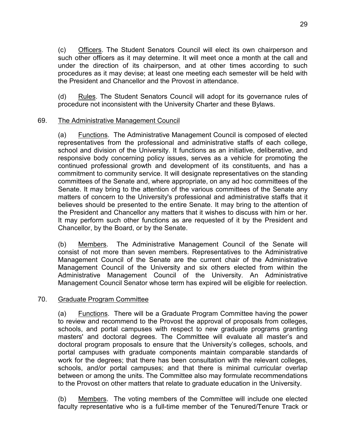(c) Officers. The Student Senators Council will elect its own chairperson and such other officers as it may determine. It will meet once a month at the call and under the direction of its chairperson, and at other times according to such procedures as it may devise; at least one meeting each semester will be held with the President and Chancellor and the Provost in attendance.

(d) Rules. The Student Senators Council will adopt for its governance rules of procedure not inconsistent with the University Charter and these Bylaws.

#### 69. The Administrative Management Council

(a) Functions. The Administrative Management Council is composed of elected representatives from the professional and administrative staffs of each college, school and division of the University. It functions as an initiative, deliberative, and responsive body concerning policy issues, serves as a vehicle for promoting the continued professional growth and development of its constituents, and has a commitment to community service. It will designate representatives on the standing committees of the Senate and, where appropriate, on any ad hoc committees of the Senate. It may bring to the attention of the various committees of the Senate any matters of concern to the University's professional and administrative staffs that it believes should be presented to the entire Senate. It may bring to the attention of the President and Chancellor any matters that it wishes to discuss with him or her. It may perform such other functions as are requested of it by the President and Chancellor, by the Board, or by the Senate.

(b) Members. The Administrative Management Council of the Senate will consist of not more than seven members. Representatives to the Administrative Management Council of the Senate are the current chair of the Administrative Management Council of the University and six others elected from within the Administrative Management Council of the University. An Administrative Management Council Senator whose term has expired will be eligible for reelection.

#### 70. Graduate Program Committee

(a) Functions. There will be a Graduate Program Committee having the power to review and recommend to the Provost the approval of proposals from colleges, schools, and portal campuses with respect to new graduate programs granting masters' and doctoral degrees. The Committee will evaluate all master's and doctoral program proposals to ensure that the University's colleges, schools, and portal campuses with graduate components maintain comparable standards of work for the degrees; that there has been consultation with the relevant colleges, schools, and/or portal campuses; and that there is minimal curricular overlap between or among the units. The Committee also may formulate recommendations to the Provost on other matters that relate to graduate education in the University.

(b) Members. The voting members of the Committee will include one elected faculty representative who is a full-time member of the Tenured/Tenure Track or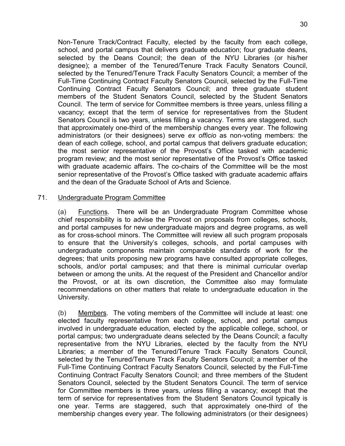Non-Tenure Track/Contract Faculty, elected by the faculty from each college, school, and portal campus that delivers graduate education; four graduate deans, selected by the Deans Council; the dean of the NYU Libraries (or his/her designee); a member of the Tenured/Tenure Track Faculty Senators Council, selected by the Tenured/Tenure Track Faculty Senators Council; a member of the Full-Time Continuing Contract Faculty Senators Council, selected by the Full-Time Continuing Contract Faculty Senators Council; and three graduate student members of the Student Senators Council, selected by the Student Senators Council. The term of service for Committee members is three years, unless filling a vacancy; except that the term of service for representatives from the Student Senators Council is two years, unless filling a vacancy. Terms are staggered, such that approximately one-third of the membership changes every year. The following administrators (or their designees) serve *ex officio* as non-voting members: the dean of each college, school, and portal campus that delivers graduate education; the most senior representative of the Provost's Office tasked with academic program review; and the most senior representative of the Provost's Office tasked with graduate academic affairs. The co-chairs of the Committee will be the most senior representative of the Provost's Office tasked with graduate academic affairs and the dean of the Graduate School of Arts and Science.

#### 71. Undergraduate Program Committee

(a) Functions. There will be an Undergraduate Program Committee whose chief responsibility is to advise the Provost on proposals from colleges, schools, and portal campuses for new undergraduate majors and degree programs, as well as for cross-school minors. The Committee will review all such program proposals to ensure that the University's colleges, schools, and portal campuses with undergraduate components maintain comparable standards of work for the degrees; that units proposing new programs have consulted appropriate colleges, schools, and/or portal campuses; and that there is minimal curricular overlap between or among the units. At the request of the President and Chancellor and/or the Provost, or at its own discretion, the Committee also may formulate recommendations on other matters that relate to undergraduate education in the University.

(b) Members. The voting members of the Committee will include at least: one elected faculty representative from each college, school, and portal campus involved in undergraduate education, elected by the applicable college, school, or portal campus; two undergraduate deans selected by the Deans Council; a faculty representative from the NYU Libraries, elected by the faculty from the NYU Libraries; a member of the Tenured/Tenure Track Faculty Senators Council, selected by the Tenured/Tenure Track Faculty Senators Council; a member of the Full-Time Continuing Contract Faculty Senators Council, selected by the Full-Time Continuing Contract Faculty Senators Council; and three members of the Student Senators Council, selected by the Student Senators Council. The term of service for Committee members is three years, unless filling a vacancy; except that the term of service for representatives from the Student Senators Council typically is one year. Terms are staggered, such that approximately one-third of the membership changes every year. The following administrators (or their designees)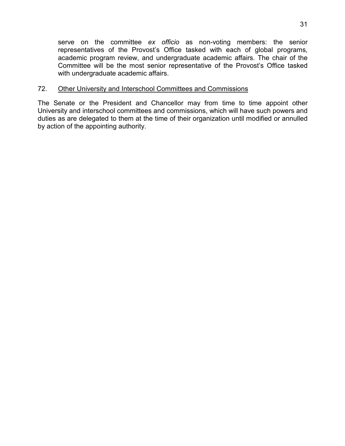serve on the committee *ex officio* as non-voting members: the senior representatives of the Provost's Office tasked with each of global programs, academic program review, and undergraduate academic affairs. The chair of the Committee will be the most senior representative of the Provost's Office tasked with undergraduate academic affairs.

#### 72. Other University and Interschool Committees and Commissions

The Senate or the President and Chancellor may from time to time appoint other University and interschool committees and commissions, which will have such powers and duties as are delegated to them at the time of their organization until modified or annulled by action of the appointing authority.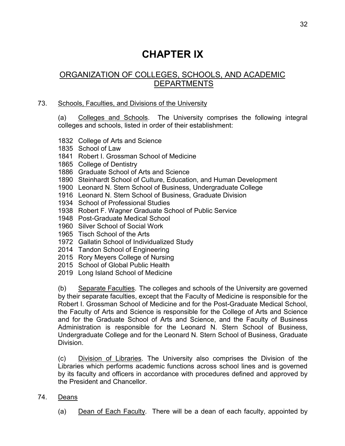# **CHAPTER IX**

# ORGANIZATION OF COLLEGES, SCHOOLS, AND ACADEMIC DEPARTMENTS

#### 73. Schools, Faculties, and Divisions of the University

(a) Colleges and Schools. The University comprises the following integral colleges and schools, listed in order of their establishment:

- 1832 College of Arts and Science
- 1835 School of Law
- 1841 Robert I. Grossman School of Medicine
- 1865 College of Dentistry
- 1886 Graduate School of Arts and Science
- 1890 Steinhardt School of Culture, Education, and Human Development
- 1900 Leonard N. Stern School of Business, Undergraduate College
- 1916 Leonard N. Stern School of Business, Graduate Division
- 1934 School of Professional Studies
- 1938 Robert F. Wagner Graduate School of Public Service
- 1948 Post-Graduate Medical School
- 1960 Silver School of Social Work
- 1965 Tisch School of the Arts
- 1972 Gallatin School of Individualized Study
- 2014 Tandon School of Engineering
- 2015 Rory Meyers College of Nursing
- 2015 School of Global Public Health
- 2019 Long Island School of Medicine

(b) Separate Faculties. The colleges and schools of the University are governed by their separate faculties, except that the Faculty of Medicine is responsible for the Robert I. Grossman School of Medicine and for the Post-Graduate Medical School, the Faculty of Arts and Science is responsible for the College of Arts and Science and for the Graduate School of Arts and Science, and the Faculty of Business Administration is responsible for the Leonard N. Stern School of Business, Undergraduate College and for the Leonard N. Stern School of Business, Graduate Division.

(c) Division of Libraries. The University also comprises the Division of the Libraries which performs academic functions across school lines and is governed by its faculty and officers in accordance with procedures defined and approved by the President and Chancellor.

- 74. Deans
	- (a) Dean of Each Faculty. There will be a dean of each faculty, appointed by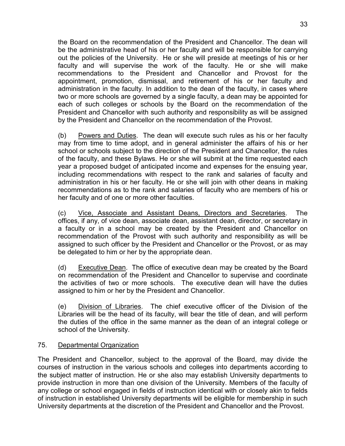the Board on the recommendation of the President and Chancellor. The dean will be the administrative head of his or her faculty and will be responsible for carrying out the policies of the University. He or she will preside at meetings of his or her faculty and will supervise the work of the faculty. He or she will make recommendations to the President and Chancellor and Provost for the appointment, promotion, dismissal, and retirement of his or her faculty and administration in the faculty. In addition to the dean of the faculty, in cases where two or more schools are governed by a single faculty, a dean may be appointed for each of such colleges or schools by the Board on the recommendation of the President and Chancellor with such authority and responsibility as will be assigned by the President and Chancellor on the recommendation of the Provost.

(b) Powers and Duties. The dean will execute such rules as his or her faculty may from time to time adopt, and in general administer the affairs of his or her school or schools subject to the direction of the President and Chancellor, the rules of the faculty, and these Bylaws. He or she will submit at the time requested each year a proposed budget of anticipated income and expenses for the ensuing year, including recommendations with respect to the rank and salaries of faculty and administration in his or her faculty. He or she will join with other deans in making recommendations as to the rank and salaries of faculty who are members of his or her faculty and of one or more other faculties.

(c) Vice, Associate and Assistant Deans, Directors and Secretaries. The offices, if any, of vice dean, associate dean, assistant dean, director, or secretary in a faculty or in a school may be created by the President and Chancellor on recommendation of the Provost with such authority and responsibility as will be assigned to such officer by the President and Chancellor or the Provost, or as may be delegated to him or her by the appropriate dean.

(d) Executive Dean. The office of executive dean may be created by the Board on recommendation of the President and Chancellor to supervise and coordinate the activities of two or more schools. The executive dean will have the duties assigned to him or her by the President and Chancellor.

(e) Division of Libraries. The chief executive officer of the Division of the Libraries will be the head of its faculty, will bear the title of dean, and will perform the duties of the office in the same manner as the dean of an integral college or school of the University.

### 75. Departmental Organization

The President and Chancellor, subject to the approval of the Board, may divide the courses of instruction in the various schools and colleges into departments according to the subject matter of instruction. He or she also may establish University departments to provide instruction in more than one division of the University. Members of the faculty of any college or school engaged in fields of instruction identical with or closely akin to fields of instruction in established University departments will be eligible for membership in such University departments at the discretion of the President and Chancellor and the Provost.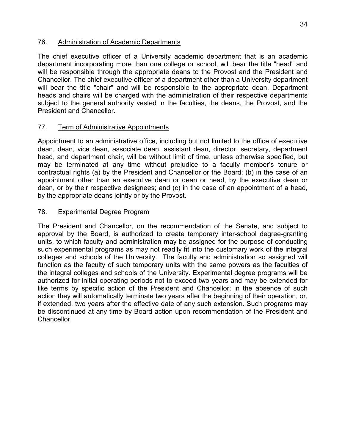#### 76. Administration of Academic Departments

The chief executive officer of a University academic department that is an academic department incorporating more than one college or school, will bear the title "head" and will be responsible through the appropriate deans to the Provost and the President and Chancellor. The chief executive officer of a department other than a University department will bear the title "chair" and will be responsible to the appropriate dean. Department heads and chairs will be charged with the administration of their respective departments subject to the general authority vested in the faculties, the deans, the Provost, and the President and Chancellor.

### 77. Term of Administrative Appointments

Appointment to an administrative office, including but not limited to the office of executive dean, dean, vice dean, associate dean, assistant dean, director, secretary, department head, and department chair, will be without limit of time, unless otherwise specified, but may be terminated at any time without prejudice to a faculty member's tenure or contractual rights (a) by the President and Chancellor or the Board; (b) in the case of an appointment other than an executive dean or dean or head, by the executive dean or dean, or by their respective designees; and (c) in the case of an appointment of a head, by the appropriate deans jointly or by the Provost.

### 78. Experimental Degree Program

The President and Chancellor, on the recommendation of the Senate, and subject to approval by the Board, is authorized to create temporary inter-school degree-granting units, to which faculty and administration may be assigned for the purpose of conducting such experimental programs as may not readily fit into the customary work of the integral colleges and schools of the University. The faculty and administration so assigned will function as the faculty of such temporary units with the same powers as the faculties of the integral colleges and schools of the University. Experimental degree programs will be authorized for initial operating periods not to exceed two years and may be extended for like terms by specific action of the President and Chancellor; in the absence of such action they will automatically terminate two years after the beginning of their operation, or, if extended, two years after the effective date of any such extension. Such programs may be discontinued at any time by Board action upon recommendation of the President and Chancellor.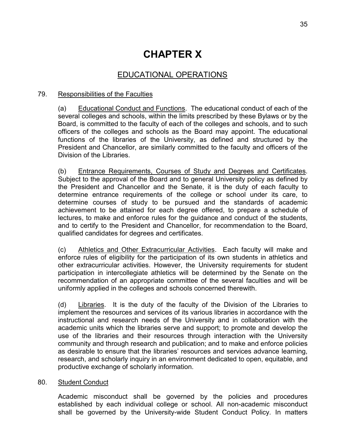# **CHAPTER X**

# EDUCATIONAL OPERATIONS

#### 79. Responsibilities of the Faculties

(a) Educational Conduct and Functions. The educational conduct of each of the several colleges and schools, within the limits prescribed by these Bylaws or by the Board, is committed to the faculty of each of the colleges and schools, and to such officers of the colleges and schools as the Board may appoint. The educational functions of the libraries of the University, as defined and structured by the President and Chancellor, are similarly committed to the faculty and officers of the Division of the Libraries.

(b) Entrance Requirements, Courses of Study and Degrees and Certificates. Subject to the approval of the Board and to general University policy as defined by the President and Chancellor and the Senate, it is the duty of each faculty to determine entrance requirements of the college or school under its care, to determine courses of study to be pursued and the standards of academic achievement to be attained for each degree offered, to prepare a schedule of lectures, to make and enforce rules for the guidance and conduct of the students, and to certify to the President and Chancellor, for recommendation to the Board, qualified candidates for degrees and certificates.

(c) Athletics and Other Extracurricular Activities. Each faculty will make and enforce rules of eligibility for the participation of its own students in athletics and other extracurricular activities. However, the University requirements for student participation in intercollegiate athletics will be determined by the Senate on the recommendation of an appropriate committee of the several faculties and will be uniformly applied in the colleges and schools concerned therewith.

(d) Libraries. It is the duty of the faculty of the Division of the Libraries to implement the resources and services of its various libraries in accordance with the instructional and research needs of the University and in collaboration with the academic units which the libraries serve and support; to promote and develop the use of the libraries and their resources through interaction with the University community and through research and publication; and to make and enforce policies as desirable to ensure that the libraries' resources and services advance learning, research, and scholarly inquiry in an environment dedicated to open, equitable, and productive exchange of scholarly information.

#### 80. Student Conduct

Academic misconduct shall be governed by the policies and procedures established by each individual college or school. All non-academic misconduct shall be governed by the University-wide Student Conduct Policy. In matters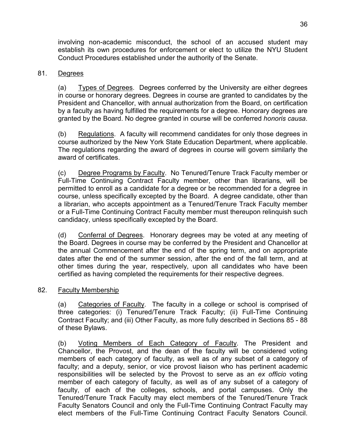involving non-academic misconduct, the school of an accused student may establish its own procedures for enforcement or elect to utilize the NYU Student Conduct Procedures established under the authority of the Senate.

#### 81. Degrees

(a) Types of Degrees. Degrees conferred by the University are either degrees in course or honorary degrees. Degrees in course are granted to candidates by the President and Chancellor, with annual authorization from the Board, on certification by a faculty as having fulfilled the requirements for a degree. Honorary degrees are granted by the Board. No degree granted in course will be conferred *honoris causa*.

(b) Regulations. A faculty will recommend candidates for only those degrees in course authorized by the New York State Education Department, where applicable. The regulations regarding the award of degrees in course will govern similarly the award of certificates.

(c) Degree Programs by Faculty. No Tenured/Tenure Track Faculty member or Full-Time Continuing Contract Faculty member, other than librarians, will be permitted to enroll as a candidate for a degree or be recommended for a degree in course, unless specifically excepted by the Board. A degree candidate, other than a librarian, who accepts appointment as a Tenured/Tenure Track Faculty member or a Full-Time Continuing Contract Faculty member must thereupon relinquish such candidacy, unless specifically excepted by the Board.

(d) Conferral of Degrees. Honorary degrees may be voted at any meeting of the Board. Degrees in course may be conferred by the President and Chancellor at the annual Commencement after the end of the spring term, and on appropriate dates after the end of the summer session, after the end of the fall term, and at other times during the year, respectively, upon all candidates who have been certified as having completed the requirements for their respective degrees.

#### 82. Faculty Membership

(a) Categories of Faculty. The faculty in a college or school is comprised of three categories: (i) Tenured/Tenure Track Faculty; (ii) Full-Time Continuing Contract Faculty; and (iii) Other Faculty, as more fully described in Sections 85 - 88 of these Bylaws.

(b) Voting Members of Each Category of Faculty. The President and Chancellor, the Provost, and the dean of the faculty will be considered voting members of each category of faculty, as well as of any subset of a category of faculty; and a deputy, senior, or vice provost liaison who has pertinent academic responsibilities will be selected by the Provost to serve as an *ex officio* voting member of each category of faculty, as well as of any subset of a category of faculty, of each of the colleges, schools, and portal campuses. Only the Tenured/Tenure Track Faculty may elect members of the Tenured/Tenure Track Faculty Senators Council and only the Full-Time Continuing Contract Faculty may elect members of the Full-Time Continuing Contract Faculty Senators Council.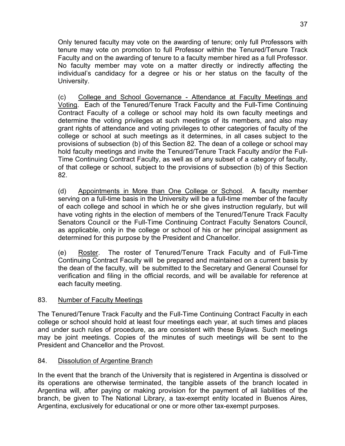Only tenured faculty may vote on the awarding of tenure; only full Professors with tenure may vote on promotion to full Professor within the Tenured/Tenure Track Faculty and on the awarding of tenure to a faculty member hired as a full Professor. No faculty member may vote on a matter directly or indirectly affecting the individual's candidacy for a degree or his or her status on the faculty of the University.

(c) College and School Governance - Attendance at Faculty Meetings and Voting. Each of the Tenured/Tenure Track Faculty and the Full-Time Continuing Contract Faculty of a college or school may hold its own faculty meetings and determine the voting privileges at such meetings of its members, and also may grant rights of attendance and voting privileges to other categories of faculty of the college or school at such meetings as it determines, in all cases subject to the provisions of subsection (b) of this Section 82. The dean of a college or school may hold faculty meetings and invite the Tenured/Tenure Track Faculty and/or the Full-Time Continuing Contract Faculty, as well as of any subset of a category of faculty, of that college or school, subject to the provisions of subsection (b) of this Section 82.

(d) Appointments in More than One College or School. A faculty member serving on a full-time basis in the University will be a full-time member of the faculty of each college and school in which he or she gives instruction regularly, but will have voting rights in the election of members of the Tenured/Tenure Track Faculty Senators Council or the Full-Time Continuing Contract Faculty Senators Council, as applicable, only in the college or school of his or her principal assignment as determined for this purpose by the President and Chancellor.

(e) Roster. The roster of Tenured/Tenure Track Faculty and of Full-Time Continuing Contract Faculty will be prepared and maintained on a current basis by the dean of the faculty, will be submitted to the Secretary and General Counsel for verification and filing in the official records, and will be available for reference at each faculty meeting.

### 83. Number of Faculty Meetings

The Tenured/Tenure Track Faculty and the Full-Time Continuing Contract Faculty in each college or school should hold at least four meetings each year, at such times and places and under such rules of procedure, as are consistent with these Bylaws. Such meetings may be joint meetings. Copies of the minutes of such meetings will be sent to the President and Chancellor and the Provost.

#### 84. Dissolution of Argentine Branch

In the event that the branch of the University that is registered in Argentina is dissolved or its operations are otherwise terminated, the tangible assets of the branch located in Argentina will, after paying or making provision for the payment of all liabilities of the branch, be given to The National Library, a tax-exempt entity located in Buenos Aires, Argentina, exclusively for educational or one or more other tax-exempt purposes.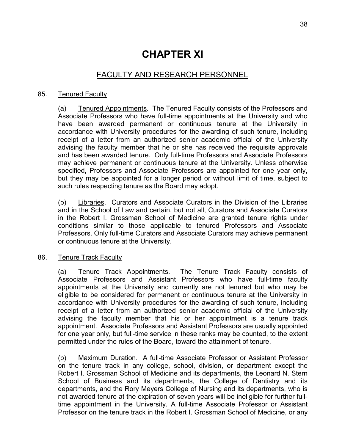# **CHAPTER XI**

## FACULTY AND RESEARCH PERSONNEL

#### 85. Tenured Faculty

(a) Tenured Appointments. The Tenured Faculty consists of the Professors and Associate Professors who have full-time appointments at the University and who have been awarded permanent or continuous tenure at the University in accordance with University procedures for the awarding of such tenure, including receipt of a letter from an authorized senior academic official of the University advising the faculty member that he or she has received the requisite approvals and has been awarded tenure. Only full-time Professors and Associate Professors may achieve permanent or continuous tenure at the University. Unless otherwise specified, Professors and Associate Professors are appointed for one year only, but they may be appointed for a longer period or without limit of time, subject to such rules respecting tenure as the Board may adopt.

(b) Libraries. Curators and Associate Curators in the Division of the Libraries and in the School of Law and certain, but not all, Curators and Associate Curators in the Robert I. Grossman School of Medicine are granted tenure rights under conditions similar to those applicable to tenured Professors and Associate Professors. Only full-time Curators and Associate Curators may achieve permanent or continuous tenure at the University.

#### 86. Tenure Track Faculty

(a) Tenure Track Appointments. The Tenure Track Faculty consists of Associate Professors and Assistant Professors who have full-time faculty appointments at the University and currently are not tenured but who may be eligible to be considered for permanent or continuous tenure at the University in accordance with University procedures for the awarding of such tenure, including receipt of a letter from an authorized senior academic official of the University advising the faculty member that his or her appointment is a tenure track appointment. Associate Professors and Assistant Professors are usually appointed for one year only, but full-time service in these ranks may be counted, to the extent permitted under the rules of the Board, toward the attainment of tenure.

(b) Maximum Duration. A full-time Associate Professor or Assistant Professor on the tenure track in any college, school, division, or department except the Robert I. Grossman School of Medicine and its departments, the Leonard N. Stern School of Business and its departments, the College of Dentistry and its departments, and the Rory Meyers College of Nursing and its departments, who is not awarded tenure at the expiration of seven years will be ineligible for further fulltime appointment in the University. A full-time Associate Professor or Assistant Professor on the tenure track in the Robert I. Grossman School of Medicine, or any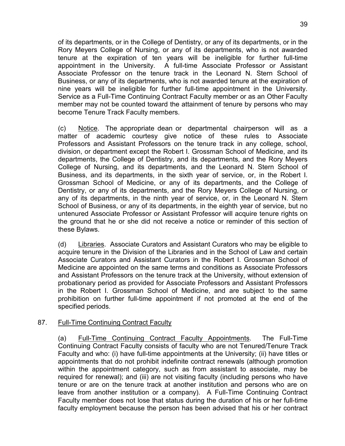of its departments, or in the College of Dentistry, or any of its departments, or in the Rory Meyers College of Nursing, or any of its departments, who is not awarded tenure at the expiration of ten years will be ineligible for further full-time appointment in the University. A full-time Associate Professor or Assistant Associate Professor on the tenure track in the Leonard N. Stern School of Business, or any of its departments, who is not awarded tenure at the expiration of nine years will be ineligible for further full-time appointment in the University. Service as a Full-Time Continuing Contract Faculty member or as an Other Faculty member may not be counted toward the attainment of tenure by persons who may become Tenure Track Faculty members.

(c) Notice. The appropriate dean or departmental chairperson will as a matter of academic courtesy give notice of these rules to Associate Professors and Assistant Professors on the tenure track in any college, school, division, or department except the Robert I. Grossman School of Medicine, and its departments, the College of Dentistry, and its departments, and the Rory Meyers College of Nursing, and its departments, and the Leonard N. Stern School of Business, and its departments, in the sixth year of service, or, in the Robert I. Grossman School of Medicine, or any of its departments, and the College of Dentistry, or any of its departments, and the Rory Meyers College of Nursing, or any of its departments, in the ninth year of service, or, in the Leonard N. Stern School of Business, or any of its departments, in the eighth year of service, but no untenured Associate Professor or Assistant Professor will acquire tenure rights on the ground that he or she did not receive a notice or reminder of this section of these Bylaws.

(d) Libraries. Associate Curators and Assistant Curators who may be eligible to acquire tenure in the Division of the Libraries and in the School of Law and certain Associate Curators and Assistant Curators in the Robert I. Grossman School of Medicine are appointed on the same terms and conditions as Associate Professors and Assistant Professors on the tenure track at the University, without extension of probationary period as provided for Associate Professors and Assistant Professors in the Robert I. Grossman School of Medicine, and are subject to the same prohibition on further full-time appointment if not promoted at the end of the specified periods.

#### 87. Full-Time Continuing Contract Faculty

(a) Full-Time Continuing Contract Faculty Appointments. The Full-Time Continuing Contract Faculty consists of faculty who are not Tenured/Tenure Track Faculty and who: (i) have full-time appointments at the University; (ii) have titles or appointments that do not prohibit indefinite contract renewals (although promotion within the appointment category, such as from assistant to associate, may be required for renewal); and (iii) are not visiting faculty (including persons who have tenure or are on the tenure track at another institution and persons who are on leave from another institution or a company). A Full-Time Continuing Contract Faculty member does not lose that status during the duration of his or her full-time faculty employment because the person has been advised that his or her contract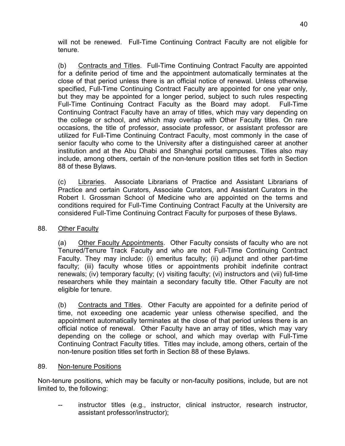will not be renewed. Full-Time Continuing Contract Faculty are not eligible for tenure.

(b) Contracts and Titles. Full-Time Continuing Contract Faculty are appointed for a definite period of time and the appointment automatically terminates at the close of that period unless there is an official notice of renewal. Unless otherwise specified, Full-Time Continuing Contract Faculty are appointed for one year only, but they may be appointed for a longer period, subject to such rules respecting Full-Time Continuing Contract Faculty as the Board may adopt. Full-Time Continuing Contract Faculty have an array of titles, which may vary depending on the college or school, and which may overlap with Other Faculty titles. On rare occasions, the title of professor, associate professor, or assistant professor are utilized for Full-Time Continuing Contract Faculty, most commonly in the case of senior faculty who come to the University after a distinguished career at another institution and at the Abu Dhabi and Shanghai portal campuses. Titles also may include, among others, certain of the non-tenure position titles set forth in Section 88 of these Bylaws.

(c) Libraries. Associate Librarians of Practice and Assistant Librarians of Practice and certain Curators, Associate Curators, and Assistant Curators in the Robert I. Grossman School of Medicine who are appointed on the terms and conditions required for Full-Time Continuing Contract Faculty at the University are considered Full-Time Continuing Contract Faculty for purposes of these Bylaws.

#### 88. Other Faculty

(a) Other Faculty Appointments. Other Faculty consists of faculty who are not Tenured/Tenure Track Faculty and who are not Full-Time Continuing Contract Faculty. They may include: (i) emeritus faculty; (ii) adjunct and other part-time faculty; (iii) faculty whose titles or appointments prohibit indefinite contract renewals; (iv) temporary faculty; (v) visiting faculty; (vi) instructors and (vii) full-time researchers while they maintain a secondary faculty title. Other Faculty are not eligible for tenure.

(b) Contracts and Titles. Other Faculty are appointed for a definite period of time, not exceeding one academic year unless otherwise specified, and the appointment automatically terminates at the close of that period unless there is an official notice of renewal. Other Faculty have an array of titles, which may vary depending on the college or school, and which may overlap with Full-Time Continuing Contract Faculty titles. Titles may include, among others, certain of the non-tenure position titles set forth in Section 88 of these Bylaws.

#### 89. Non-tenure Positions

Non-tenure positions, which may be faculty or non-faculty positions, include, but are not limited to, the following:

-- instructor titles (e.g., instructor, clinical instructor, research instructor, assistant professor/instructor);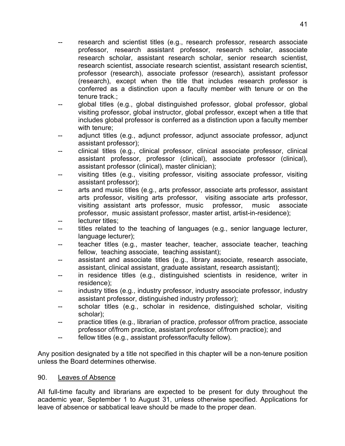- research and scientist titles (e.g., research professor, research associate professor, research assistant professor, research scholar, associate research scholar, assistant research scholar, senior research scientist, research scientist, associate research scientist, assistant research scientist, professor (research), associate professor (research), assistant professor (research), except when the title that includes research professor is conferred as a distinction upon a faculty member with tenure or on the tenure track.;
- -- global titles (e.g., global distinguished professor, global professor, global visiting professor, global instructor, global professor, except when a title that includes global professor is conferred as a distinction upon a faculty member with tenure;
- -- adjunct titles (e.g., adjunct professor, adjunct associate professor, adjunct assistant professor);
- -- clinical titles (e.g., clinical professor, clinical associate professor, clinical assistant professor, professor (clinical), associate professor (clinical), assistant professor (clinical), master clinician);
- -- visiting titles (e.g., visiting professor, visiting associate professor, visiting assistant professor);
- -- arts and music titles (e.g., arts professor, associate arts professor, assistant arts professor, visiting arts professor, visiting associate arts professor, visiting assistant arts professor, music professor, music associate professor, music assistant professor, master artist, artist-in-residence);
- -- lecturer titles;
- -- titles related to the teaching of languages (e.g., senior language lecturer, language lecturer);
- -- teacher titles (e.g., master teacher, teacher, associate teacher, teaching fellow, teaching associate, teaching assistant);
- -- assistant and associate titles (e.g., library associate, research associate, assistant, clinical assistant, graduate assistant, research assistant);
- -- in residence titles (e.g., distinguished scientists in residence, writer in residence);
- -- industry titles (e.g., industry professor, industry associate professor, industry assistant professor, distinguished industry professor);
- -- scholar titles (e.g., scholar in residence, distinguished scholar, visiting scholar);
- -- practice titles (e.g., librarian of practice, professor of/from practice, associate professor of/from practice, assistant professor of/from practice); and
- -- fellow titles (e.g., assistant professor/faculty fellow).

Any position designated by a title not specified in this chapter will be a non-tenure position unless the Board determines otherwise.

#### 90. Leaves of Absence

All full-time faculty and librarians are expected to be present for duty throughout the academic year, September 1 to August 31, unless otherwise specified. Applications for leave of absence or sabbatical leave should be made to the proper dean.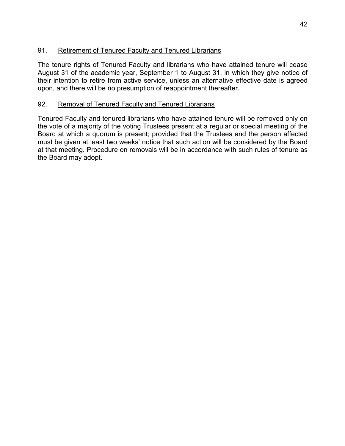## 91. Retirement of Tenured Faculty and Tenured Librarians

The tenure rights of Tenured Faculty and librarians who have attained tenure will cease August 31 of the academic year, September 1 to August 31, in which they give notice of their intention to retire from active service, unless an alternative effective date is agreed upon, and there will be no presumption of reappointment thereafter.

## 92. Removal of Tenured Faculty and Tenured Librarians

Tenured Faculty and tenured librarians who have attained tenure will be removed only on the vote of a majority of the voting Trustees present at a regular or special meeting of the Board at which a quorum is present; provided that the Trustees and the person affected must be given at least two weeks' notice that such action will be considered by the Board at that meeting. Procedure on removals will be in accordance with such rules of tenure as the Board may adopt.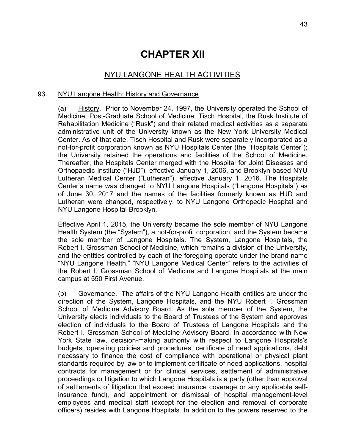# **CHAPTER XII**

## NYU LANGONE HEALTH ACTIVITIES

#### 93. NYU Langone Health: History and Governance

(a) History. Prior to November 24, 1997, the University operated the School of Medicine, Post-Graduate School of Medicine, Tisch Hospital, the Rusk Institute of Rehabilitation Medicine ("Rusk") and their related medical activities as a separate administrative unit of the University known as the New York University Medical Center. As of that date, Tisch Hospital and Rusk were separately incorporated as a not-for-profit corporation known as NYU Hospitals Center (the "Hospitals Center"); the University retained the operations and facilities of the School of Medicine. Thereafter, the Hospitals Center merged with the Hospital for Joint Diseases and Orthopaedic Institute ("HJD"), effective January 1, 2006, and Brooklyn-based NYU Lutheran Medical Center ("Lutheran"), effective January 1, 2016. The Hospitals Center's name was changed to NYU Langone Hospitals ("Langone Hospitals") as of June 30, 2017 and the names of the facilities formerly known as HJD and Lutheran were changed, respectively, to NYU Langone Orthopedic Hospital and NYU Langone Hospital-Brooklyn.

Effective April 1, 2015, the University became the sole member of NYU Langone Health System (the "System"), a not-for-profit corporation, and the System became the sole member of Langone Hospitals. The System, Langone Hospitals, the Robert I. Grossman School of Medicine, which remains a division of the University, and the entities controlled by each of the foregoing operate under the brand name "NYU Langone Health." "NYU Langone Medical Center" refers to the activities of the Robert I. Grossman School of Medicine and Langone Hospitals at the main campus at 550 First Avenue.

(b) Governance. The affairs of the NYU Langone Health entities are under the direction of the System, Langone Hospitals, and the NYU Robert I. Grossman School of Medicine Advisory Board. As the sole member of the System, the University elects individuals to the Board of Trustees of the System and approves election of individuals to the Board of Trustees of Langone Hospitals and the Robert I. Grossman School of Medicine Advisory Board. In accordance with New York State law, decision-making authority with respect to Langone Hospitals's budgets, operating policies and procedures, certificate of need applications, debt necessary to finance the cost of compliance with operational or physical plant standards required by law or to implement certificate of need applications, hospital contracts for management or for clinical services, settlement of administrative proceedings or litigation to which Langone Hospitals is a party (other than approval of settlements of litigation that exceed insurance coverage or any applicable selfinsurance fund), and appointment or dismissal of hospital management-level employees and medical staff (except for the election and removal of corporate officers) resides with Langone Hospitals. In addition to the powers reserved to the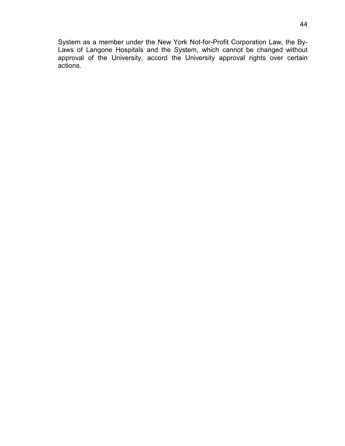System as a member under the New York Not-for-Profit Corporation Law, the By-Laws of Langone Hospitals and the System, which cannot be changed without approval of the University, accord the University approval rights over certain actions.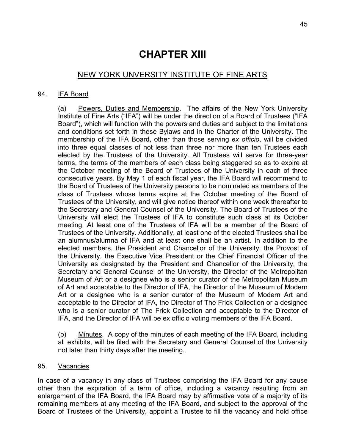# **CHAPTER XIII**

## NEW YORK UNVERSITY INSTITUTE OF FINE ARTS

#### 94. IFA Board

(a) Powers, Duties and Membership. The affairs of the New York University Institute of Fine Arts ("IFA") will be under the direction of a Board of Trustees ("IFA Board"), which will function with the powers and duties and subject to the limitations and conditions set forth in these Bylaws and in the Charter of the University. The membership of the IFA Board, other than those serving *ex officio*, will be divided into three equal classes of not less than three nor more than ten Trustees each elected by the Trustees of the University. All Trustees will serve for three-year terms, the terms of the members of each class being staggered so as to expire at the October meeting of the Board of Trustees of the University in each of three consecutive years. By May 1 of each fiscal year, the IFA Board will recommend to the Board of Trustees of the University persons to be nominated as members of the class of Trustees whose terms expire at the October meeting of the Board of Trustees of the University, and will give notice thereof within one week thereafter to the Secretary and General Counsel of the University. The Board of Trustees of the University will elect the Trustees of IFA to constitute such class at its October meeting. At least one of the Trustees of IFA will be a member of the Board of Trustees of the University. Additionally, at least one of the elected Trustees shall be an alumnus/alumna of IFA and at least one shall be an artist. In addition to the elected members, the President and Chancellor of the University, the Provost of the University, the Executive Vice President or the Chief Financial Officer of the University as designated by the President and Chancellor of the University, the Secretary and General Counsel of the University, the Director of the Metropolitan Museum of Art or a designee who is a senior curator of the Metropolitan Museum of Art and acceptable to the Director of IFA, the Director of the Museum of Modern Art or a designee who is a senior curator of the Museum of Modern Art and acceptable to the Director of IFA, the Director of The Frick Collection or a designee who is a senior curator of The Frick Collection and acceptable to the Director of IFA, and the Director of IFA will be ex officio voting members of the IFA Board.

(b) Minutes. A copy of the minutes of each meeting of the IFA Board, including all exhibits, will be filed with the Secretary and General Counsel of the University not later than thirty days after the meeting.

95. Vacancies

In case of a vacancy in any class of Trustees comprising the IFA Board for any cause other than the expiration of a term of office, including a vacancy resulting from an enlargement of the IFA Board, the IFA Board may by affirmative vote of a majority of its remaining members at any meeting of the IFA Board, and subject to the approval of the Board of Trustees of the University, appoint a Trustee to fill the vacancy and hold office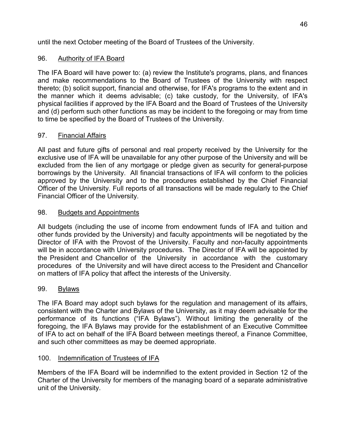until the next October meeting of the Board of Trustees of the University.

## 96. Authority of IFA Board

The IFA Board will have power to: (a) review the Institute's programs, plans, and finances and make recommendations to the Board of Trustees of the University with respect thereto; (b) solicit support, financial and otherwise, for IFA's programs to the extent and in the manner which it deems advisable; (c) take custody, for the University, of IFA's physical facilities if approved by the IFA Board and the Board of Trustees of the University and (d) perform such other functions as may be incident to the foregoing or may from time to time be specified by the Board of Trustees of the University.

## 97. Financial Affairs

All past and future gifts of personal and real property received by the University for the exclusive use of IFA will be unavailable for any other purpose of the University and will be excluded from the lien of any mortgage or pledge given as security for general-purpose borrowings by the University. All financial transactions of IFA will conform to the policies approved by the University and to the procedures established by the Chief Financial Officer of the University. Full reports of all transactions will be made regularly to the Chief Financial Officer of the University.

## 98. Budgets and Appointments

All budgets (including the use of income from endowment funds of IFA and tuition and other funds provided by the University) and faculty appointments will be negotiated by the Director of IFA with the Provost of the University. Faculty and non-faculty appointments will be in accordance with University procedures. The Director of IFA will be appointed by the President and Chancellor of the University in accordance with the customary procedures of the University and will have direct access to the President and Chancellor on matters of IFA policy that affect the interests of the University.

## 99. Bylaws

The IFA Board may adopt such bylaws for the regulation and management of its affairs, consistent with the Charter and Bylaws of the University, as it may deem advisable for the performance of its functions ("IFA Bylaws"). Without limiting the generality of the foregoing, the IFA Bylaws may provide for the establishment of an Executive Committee of IFA to act on behalf of the IFA Board between meetings thereof, a Finance Committee, and such other committees as may be deemed appropriate.

## 100. Indemnification of Trustees of IFA

Members of the IFA Board will be indemnified to the extent provided in Section 12 of the Charter of the University for members of the managing board of a separate administrative unit of the University.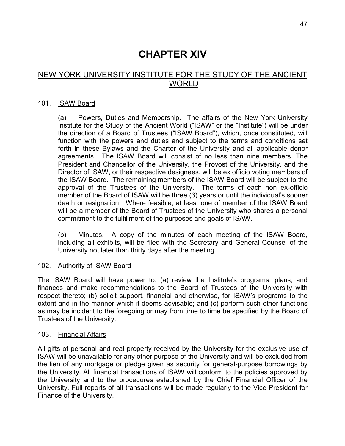# **CHAPTER XIV**

# NEW YORK UNIVERSITY INSTITUTE FOR THE STUDY OF THE ANCIENT **WORLD**

#### 101. ISAW Board

(a) Powers, Duties and Membership. The affairs of the New York University Institute for the Study of the Ancient World ("ISAW" or the "Institute") will be under the direction of a Board of Trustees ("ISAW Board"), which, once constituted, will function with the powers and duties and subject to the terms and conditions set forth in these Bylaws and the Charter of the University and all applicable donor agreements. The ISAW Board will consist of no less than nine members. The President and Chancellor of the University, the Provost of the University, and the Director of ISAW, or their respective designees, will be ex officio voting members of the ISAW Board. The remaining members of the ISAW Board will be subject to the approval of the Trustees of the University. The terms of each non ex-officio member of the Board of ISAW will be three (3) years or until the individual's sooner death or resignation. Where feasible, at least one of member of the ISAW Board will be a member of the Board of Trustees of the University who shares a personal commitment to the fulfillment of the purposes and goals of ISAW.

(b) Minutes. A copy of the minutes of each meeting of the ISAW Board, including all exhibits, will be filed with the Secretary and General Counsel of the University not later than thirty days after the meeting.

#### 102. Authority of ISAW Board

The ISAW Board will have power to: (a) review the Institute's programs, plans, and finances and make recommendations to the Board of Trustees of the University with respect thereto; (b) solicit support, financial and otherwise, for ISAW's programs to the extent and in the manner which it deems advisable; and (c) perform such other functions as may be incident to the foregoing or may from time to time be specified by the Board of Trustees of the University.

#### 103. Financial Affairs

All gifts of personal and real property received by the University for the exclusive use of ISAW will be unavailable for any other purpose of the University and will be excluded from the lien of any mortgage or pledge given as security for general-purpose borrowings by the University. All financial transactions of ISAW will conform to the policies approved by the University and to the procedures established by the Chief Financial Officer of the University. Full reports of all transactions will be made regularly to the Vice President for Finance of the University.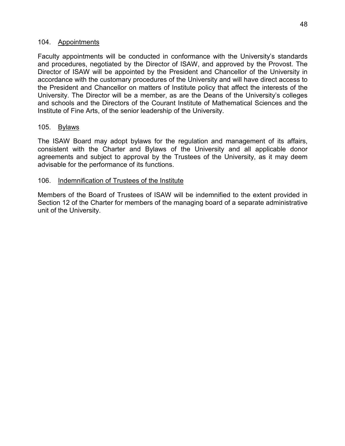#### 104. Appointments

Faculty appointments will be conducted in conformance with the University's standards and procedures, negotiated by the Director of ISAW, and approved by the Provost. The Director of ISAW will be appointed by the President and Chancellor of the University in accordance with the customary procedures of the University and will have direct access to the President and Chancellor on matters of Institute policy that affect the interests of the University. The Director will be a member, as are the Deans of the University's colleges and schools and the Directors of the Courant Institute of Mathematical Sciences and the Institute of Fine Arts, of the senior leadership of the University.

#### 105. Bylaws

The ISAW Board may adopt bylaws for the regulation and management of its affairs, consistent with the Charter and Bylaws of the University and all applicable donor agreements and subject to approval by the Trustees of the University, as it may deem advisable for the performance of its functions.

#### 106. Indemnification of Trustees of the Institute

Members of the Board of Trustees of ISAW will be indemnified to the extent provided in Section 12 of the Charter for members of the managing board of a separate administrative unit of the University.